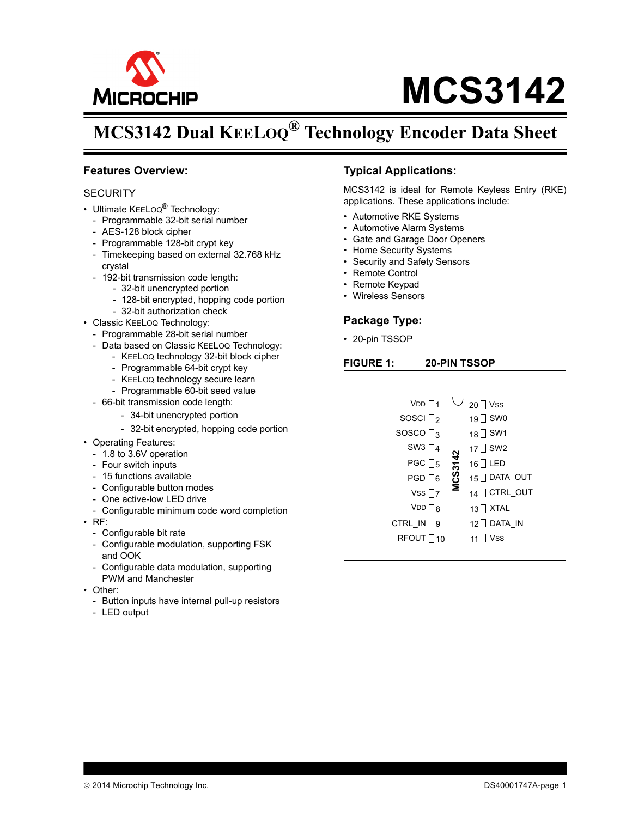

# **MCS3142**

# **MCS3142 Dual KEELOQ® Technology Encoder Data Sheet**

#### **Features Overview:**

#### **SECURITY**

- Ultimate KEELOQ<sup>®</sup> Technology:
	- Programmable 32-bit serial number
	- AES-128 block cipher
	- Programmable 128-bit crypt key
	- Timekeeping based on external 32.768 kHz crystal
	- 192-bit transmission code length:
		- 32-bit unencrypted portion
		- 128-bit encrypted, hopping code portion
		- 32-bit authorization check
- Classic KEELOQ Technology:
	- Programmable 28-bit serial number
	- Data based on Classic KEELOQ Technology:
		- KEELOQ technology 32-bit block cipher
			- Programmable 64-bit crypt key
			- KEELOQ technology secure learn
		- Programmable 60-bit seed value
	- 66-bit transmission code length:
		- 34-bit unencrypted portion
		- 32-bit encrypted, hopping code portion
- Operating Features:
	- 1.8 to 3.6V operation
	- Four switch inputs
	- 15 functions available
	- Configurable button modes
	- One active-low LED drive
	- Configurable minimum code word completion
- RF:
	- Configurable bit rate
	- Configurable modulation, supporting FSK and OOK
	- Configurable data modulation, supporting
	- PWM and Manchester
- Other:
	- Button inputs have internal pull-up resistors
	- LED output

#### **Typical Applications:**

MCS3142 is ideal for Remote Keyless Entry (RKE) applications. These applications include:

- Automotive RKE Systems
- Automotive Alarm Systems
- Gate and Garage Door Openers
- Home Security Systems
- Security and Safety Sensors
- Remote Control
- Remote Keypad
- Wireless Sensors

#### **Package Type:**

• 20-pin TSSOP



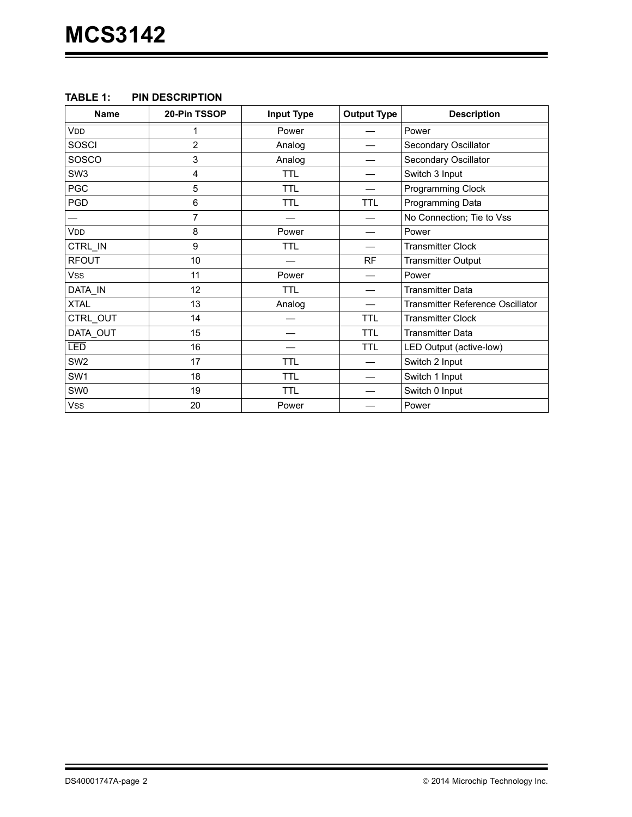#### <span id="page-1-0"></span>**TABLE 1: PIN DESCRIPTION**

| <b>Name</b>     | 20-Pin TSSOP   | <b>Input Type</b> | <b>Output Type</b> | <b>Description</b>                      |
|-----------------|----------------|-------------------|--------------------|-----------------------------------------|
| V <sub>DD</sub> | 1              | Power             |                    | Power                                   |
| <b>SOSCI</b>    | $\overline{2}$ | Analog            |                    | Secondary Oscillator                    |
| SOSCO           | 3              | Analog            |                    | Secondary Oscillator                    |
| SW <sub>3</sub> | 4              | <b>TTL</b>        |                    | Switch 3 Input                          |
| <b>PGC</b>      | 5              | <b>TTL</b>        |                    | Programming Clock                       |
| <b>PGD</b>      | $\,6$          | <b>TTL</b>        | <b>TTL</b>         | Programming Data                        |
|                 | 7              |                   |                    | No Connection; Tie to Vss               |
| V <sub>DD</sub> | 8              | Power             |                    | Power                                   |
| CTRL_IN         | 9              | <b>TTL</b>        |                    | <b>Transmitter Clock</b>                |
| <b>RFOUT</b>    | 10             |                   | <b>RF</b>          | <b>Transmitter Output</b>               |
| Vss             | 11             | Power             |                    | Power                                   |
| DATA_IN         | 12             | <b>TTL</b>        |                    | <b>Transmitter Data</b>                 |
| <b>XTAL</b>     | 13             | Analog            |                    | <b>Transmitter Reference Oscillator</b> |
| CTRL_OUT        | 14             |                   | <b>TTL</b>         | <b>Transmitter Clock</b>                |
| DATA OUT        | 15             |                   | <b>TTL</b>         | <b>Transmitter Data</b>                 |
| <b>LED</b>      | 16             |                   | <b>TTL</b>         | LED Output (active-low)                 |
| SW <sub>2</sub> | 17             | <b>TTL</b>        |                    | Switch 2 Input                          |
| SW <sub>1</sub> | 18             | <b>TTL</b>        |                    | Switch 1 Input                          |
| SW <sub>0</sub> | 19             | <b>TTL</b>        |                    | Switch 0 Input                          |
| <b>Vss</b>      | 20             | Power             |                    | Power                                   |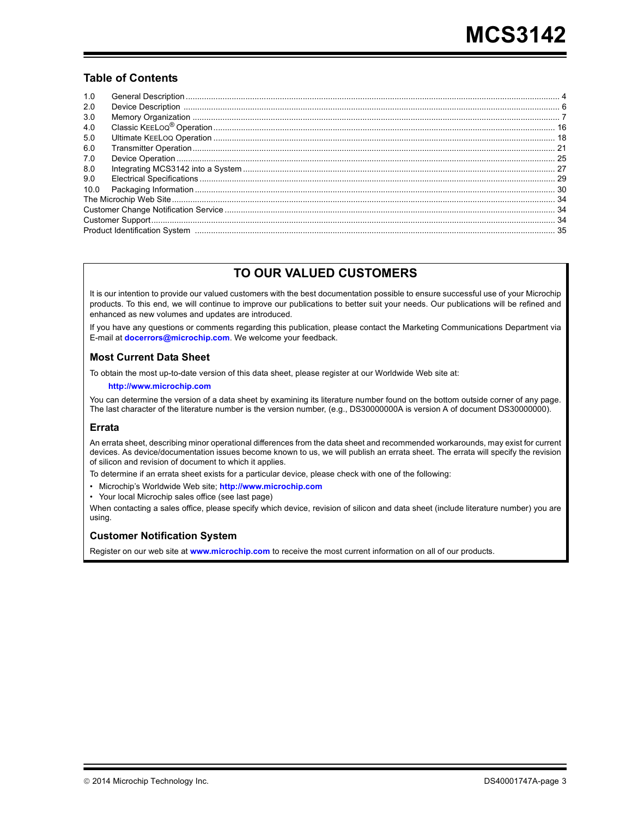#### **Table of Contents**

| 1.0  |                                                                                                                                                                                                                                |  |
|------|--------------------------------------------------------------------------------------------------------------------------------------------------------------------------------------------------------------------------------|--|
| 2.0  |                                                                                                                                                                                                                                |  |
| 3.0  |                                                                                                                                                                                                                                |  |
| 4.0  |                                                                                                                                                                                                                                |  |
| 5.0  |                                                                                                                                                                                                                                |  |
| 6.0  | Unitate Reservative Constantinoper and construction of the construction of the construction of the construction of the construction of the construction of the construction of the construction of the construction of the con |  |
| 7.0  |                                                                                                                                                                                                                                |  |
| 8.0  |                                                                                                                                                                                                                                |  |
| 9.0  |                                                                                                                                                                                                                                |  |
| 10.0 |                                                                                                                                                                                                                                |  |
|      |                                                                                                                                                                                                                                |  |
|      |                                                                                                                                                                                                                                |  |
|      |                                                                                                                                                                                                                                |  |
|      |                                                                                                                                                                                                                                |  |

# **TO OUR VALUED CUSTOMERS**

It is our intention to provide our valued customers with the best documentation possible to ensure successful use of your Microchip products. To this end, we will continue to improve our publications to better suit your needs. Our publications will be refined and enhanced as new volumes and updates are introduced.

If you have any questions or comments regarding this publication, please contact the Marketing Communications Department via E-mail at **[docerrors@microchip.com](mailto:docerrors@microchip.com)**. We welcome your feedback.

#### **Most Current Data Sheet**

To obtain the most up-to-date version of this data sheet, please register at our Worldwide Web site at:

#### **http://www.microchip.com**

You can determine the version of a data sheet by examining its literature number found on the bottom outside corner of any page. The last character of the literature number is the version number, (e.g., DS30000000A is version A of document DS30000000).

#### **Errata**

An errata sheet, describing minor operational differences from the data sheet and recommended workarounds, may exist for current devices. As device/documentation issues become known to us, we will publish an errata sheet. The errata will specify the revision of silicon and revision of document to which it applies.

To determine if an errata sheet exists for a particular device, please check with one of the following:

- Microchip's Worldwide Web site; **http://www.microchip.com**
- Your local Microchip sales office (see last page)

When contacting a sales office, please specify which device, revision of silicon and data sheet (include literature number) you are using.

#### **Customer Notification System**

Register on our web site at **[www.microchip.com](http://www.microchip.com)** to receive the most current information on all of our products.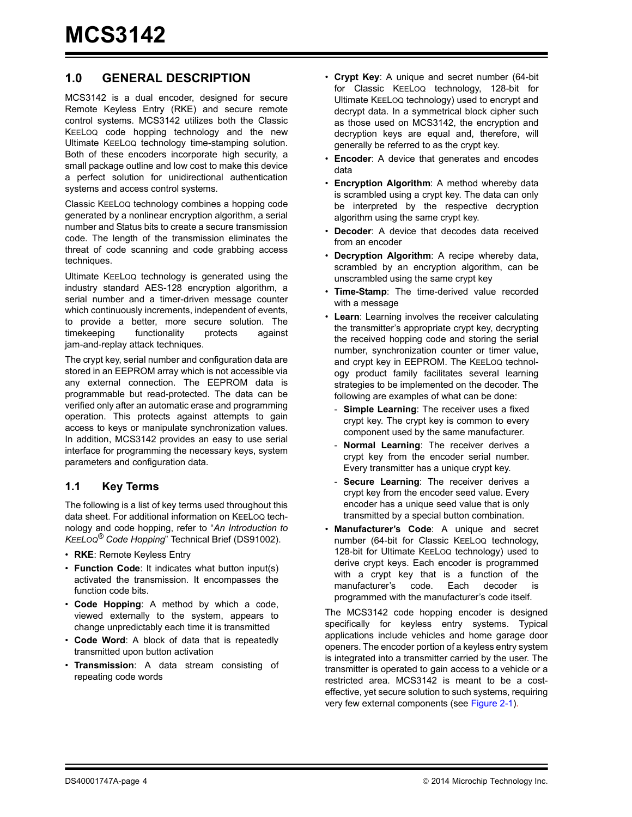# <span id="page-3-0"></span>**1.0 GENERAL DESCRIPTION**

MCS3142 is a dual encoder, designed for secure Remote Keyless Entry (RKE) and secure remote control systems. MCS3142 utilizes both the Classic KEELOQ code hopping technology and the new Ultimate KEELOQ technology time-stamping solution. Both of these encoders incorporate high security, a small package outline and low cost to make this device a perfect solution for unidirectional authentication systems and access control systems.

Classic KEELOQ technology combines a hopping code generated by a nonlinear encryption algorithm, a serial number and Status bits to create a secure transmission code. The length of the transmission eliminates the threat of code scanning and code grabbing access techniques.

Ultimate KEELOQ technology is generated using the industry standard AES-128 encryption algorithm, a serial number and a timer-driven message counter which continuously increments, independent of events, to provide a better, more secure solution. The timekeeping functionality protects against jam-and-replay attack techniques.

The crypt key, serial number and configuration data are stored in an EEPROM array which is not accessible via any external connection. The EEPROM data is programmable but read-protected. The data can be verified only after an automatic erase and programming operation. This protects against attempts to gain access to keys or manipulate synchronization values. In addition, MCS3142 provides an easy to use serial interface for programming the necessary keys, system parameters and configuration data.

#### **1.1 Key Terms**

The following is a list of key terms used throughout this data sheet. For additional information on KEELOQ technology and code hopping, refer to "*An Introduction to KEELOQ® Code Hopping*" Technical Brief (DS91002).

- **RKE**: Remote Keyless Entry
- **Function Code**: It indicates what button input(s) activated the transmission. It encompasses the function code bits.
- **Code Hopping**: A method by which a code, viewed externally to the system, appears to change unpredictably each time it is transmitted
- **Code Word**: A block of data that is repeatedly transmitted upon button activation
- **Transmission**: A data stream consisting of repeating code words
- **Crypt Key**: A unique and secret number (64-bit for Classic KEELOQ technology, 128-bit for Ultimate KEELOQ technology) used to encrypt and decrypt data. In a symmetrical block cipher such as those used on MCS3142, the encryption and decryption keys are equal and, therefore, will generally be referred to as the crypt key.
- **Encoder**: A device that generates and encodes data
- **Encryption Algorithm**: A method whereby data is scrambled using a crypt key. The data can only be interpreted by the respective decryption algorithm using the same crypt key.
- **Decoder**: A device that decodes data received from an encoder
- **Decryption Algorithm**: A recipe whereby data, scrambled by an encryption algorithm, can be unscrambled using the same crypt key
- **Time-Stamp:** The time-derived value recorded with a message
- **Learn**: Learning involves the receiver calculating the transmitter's appropriate crypt key, decrypting the received hopping code and storing the serial number, synchronization counter or timer value, and crypt key in EEPROM. The KEELOQ technology product family facilitates several learning strategies to be implemented on the decoder. The following are examples of what can be done:
	- **Simple Learning**: The receiver uses a fixed crypt key. The crypt key is common to every component used by the same manufacturer.
	- Normal Learning: The receiver derives a crypt key from the encoder serial number. Every transmitter has a unique crypt key.
	- Secure Learning: The receiver derives a crypt key from the encoder seed value. Every encoder has a unique seed value that is only transmitted by a special button combination.
- **Manufacturer's Code**: A unique and secret number (64-bit for Classic KEELOQ technology, 128-bit for Ultimate KEELOQ technology) used to derive crypt keys. Each encoder is programmed with a crypt key that is a function of the manufacturer's code. Each decoder is programmed with the manufacturer's code itself.

The MCS3142 code hopping encoder is designed specifically for keyless entry systems. Typical applications include vehicles and home garage door openers. The encoder portion of a keyless entry system is integrated into a transmitter carried by the user. The transmitter is operated to gain access to a vehicle or a restricted area. MCS3142 is meant to be a costeffective, yet secure solution to such systems, requiring very few external components (see [Figure 2-1](#page-5-1)).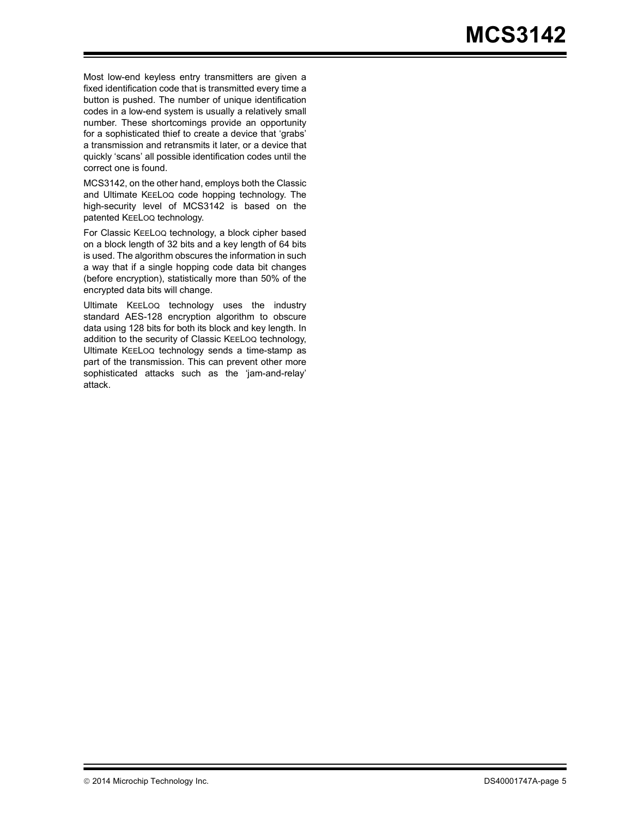Most low-end keyless entry transmitters are given a fixed identification code that is transmitted every time a button is pushed. The number of unique identification codes in a low-end system is usually a relatively small number. These shortcomings provide an opportunity for a sophisticated thief to create a device that 'grabs' a transmission and retransmits it later, or a device that quickly 'scans' all possible identification codes until the correct one is found.

MCS3142, on the other hand, employs both the Classic and Ultimate KEELOQ code hopping technology. The high-security level of MCS3142 is based on the patented KEELOQ technology.

For Classic KEELOQ technology, a block cipher based on a block length of 32 bits and a key length of 64 bits is used. The algorithm obscures the information in such a way that if a single hopping code data bit changes (before encryption), statistically more than 50% of the encrypted data bits will change.

Ultimate KEELOQ technology uses the industry standard AES-128 encryption algorithm to obscure data using 128 bits for both its block and key length. In addition to the security of Classic KEELOQ technology, Ultimate KEELOQ technology sends a time-stamp as part of the transmission. This can prevent other more sophisticated attacks such as the 'jam-and-relay' attack.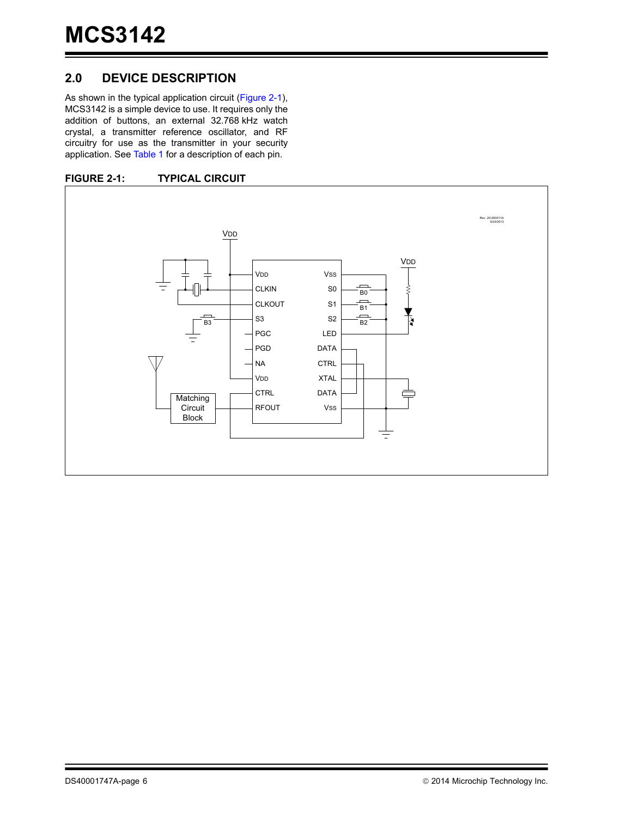# <span id="page-5-0"></span>**2.0 DEVICE DESCRIPTION**

As shown in the typical application circuit ([Figure 2-1](#page-5-2)), MCS3142 is a simple device to use. It requires only the addition of buttons, an external 32.768 kHz watch crystal, a transmitter reference oscillator, and RF circuitry for use as the transmitter in your security application. See [Table 1](#page-1-0) for a description of each pin.

#### <span id="page-5-2"></span><span id="page-5-1"></span>**FIGURE 2-1: TYPICAL CIRCUIT**

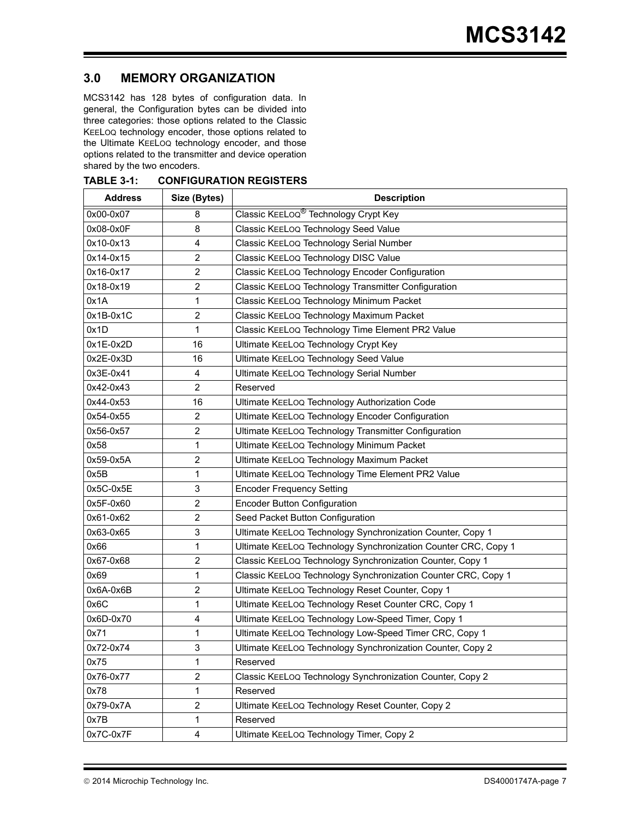## <span id="page-6-0"></span>**3.0 MEMORY ORGANIZATION**

MCS3142 has 128 bytes of configuration data. In general, the Configuration bytes can be divided into three categories: those options related to the Classic KEELOQ technology encoder, those options related to the Ultimate KEELOQ technology encoder, and those options related to the transmitter and device operation shared by the two encoders.

| <b>Address</b> | Size (Bytes)            | <b>Description</b>                                             |
|----------------|-------------------------|----------------------------------------------------------------|
| 0x00-0x07      | 8                       | Classic KEELOQ <sup>®</sup> Technology Crypt Key               |
| 0x08-0x0F      | 8                       | Classic KEELOQ Technology Seed Value                           |
| 0x10-0x13      | 4                       | Classic KEELOQ Technology Serial Number                        |
| 0x14-0x15      | $\overline{2}$          | Classic KEELOQ Technology DISC Value                           |
| 0x16-0x17      | $\overline{2}$          | Classic KEELOQ Technology Encoder Configuration                |
| 0x18-0x19      | $\overline{2}$          | Classic KEELOQ Technology Transmitter Configuration            |
| 0x1A           | 1                       | Classic KEELOQ Technology Minimum Packet                       |
| $0x1B-0x1C$    | $\overline{2}$          | Classic KEELOQ Technology Maximum Packet                       |
| 0x1D           | 1                       | Classic KEELOQ Technology Time Element PR2 Value               |
| $0x1E-0x2D$    | 16                      | Ultimate KEELOQ Technology Crypt Key                           |
| $0x2E-0x3D$    | 16                      | Ultimate KEELOQ Technology Seed Value                          |
| 0x3E-0x41      | 4                       | Ultimate KEELOQ Technology Serial Number                       |
| 0x42-0x43      | $\overline{2}$          | Reserved                                                       |
| 0x44-0x53      | 16                      | Ultimate KEELOQ Technology Authorization Code                  |
| 0x54-0x55      | $\overline{2}$          | Ultimate KEELOQ Technology Encoder Configuration               |
| 0x56-0x57      | $\overline{2}$          | Ultimate KEELOQ Technology Transmitter Configuration           |
| 0x58           | 1                       | Ultimate KEELOQ Technology Minimum Packet                      |
| 0x59-0x5A      | $\overline{c}$          | Ultimate KEELOQ Technology Maximum Packet                      |
| 0x5B           | 1                       | Ultimate KEELOQ Technology Time Element PR2 Value              |
| 0x5C-0x5E      | 3                       | <b>Encoder Frequency Setting</b>                               |
| 0x5F-0x60      | $\overline{2}$          | <b>Encoder Button Configuration</b>                            |
| 0x61-0x62      | $\overline{2}$          | Seed Packet Button Configuration                               |
| 0x63-0x65      | $\mathsf 3$             | Ultimate KEELOQ Technology Synchronization Counter, Copy 1     |
| 0x66           | 1                       | Ultimate KEELOQ Technology Synchronization Counter CRC, Copy 1 |
| 0x67-0x68      | $\overline{2}$          | Classic KEELOQ Technology Synchronization Counter, Copy 1      |
| 0x69           | 1                       | Classic KEELOQ Technology Synchronization Counter CRC, Copy 1  |
| 0x6A-0x6B      | 2                       | Ultimate KEELOQ Technology Reset Counter, Copy 1               |
| 0x6C           | 1                       | Ultimate KEELOQ Technology Reset Counter CRC, Copy 1           |
| 0x6D-0x70      | 4                       | Ultimate KEELOQ Technology Low-Speed Timer, Copy 1             |
| 0x71           | 1                       | Ultimate KEELOQ Technology Low-Speed Timer CRC, Copy 1         |
| 0x72-0x74      | 3                       | Ultimate KEELOQ Technology Synchronization Counter, Copy 2     |
| 0x75           | 1                       | Reserved                                                       |
| 0x76-0x77      | $\overline{c}$          | Classic KEELOQ Technology Synchronization Counter, Copy 2      |
| 0x78           | 1                       | Reserved                                                       |
| 0x79-0x7A      | $\overline{\mathbf{c}}$ | Ultimate KEELOQ Technology Reset Counter, Copy 2               |
| 0x7B           | 1                       | Reserved                                                       |
| 0x7C-0x7F      | 4                       | Ultimate KEELOQ Technology Timer, Copy 2                       |

**TABLE 3-1: CONFIGURATION REGISTERS**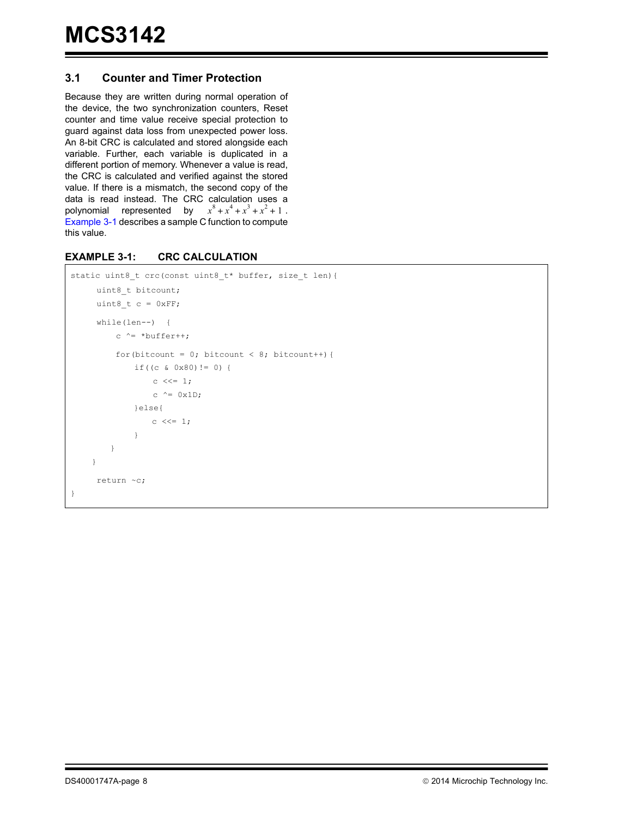#### <span id="page-7-1"></span>**3.1 Counter and Timer Protection**

Because they are written during normal operation of the device, the two synchronization counters, Reset counter and time value receive special protection to guard against data loss from unexpected power loss. An 8-bit CRC is calculated and stored alongside each variable. Further, each variable is duplicated in a different portion of memory. Whenever a value is read, the CRC is calculated and verified against the stored value. If there is a mismatch, the second copy of the data is read instead. The CRC calculation uses a polynomial represented by  $x^8 + x^4 + x^3 + x^2 + 1$ . [Example 3-1](#page-7-0) describes a sample C function to compute this value.

#### <span id="page-7-0"></span>**EXAMPLE 3-1: CRC CALCULATION**

```
static uint8 t crc(const uint8 t* buffer, size t len){
     uint8_t bitcount;
     uint8_t c = 0xFF;
     while(len--) {
         c \uparrow *buffer++;
          for(bitcount = 0; bitcount < 8; bitcount++){
              if((c & 0x80)!= 0) {
                  c \iff 1;c ^{\wedge} = 0x1D;
              }else{
                  c \leq 1;}
         }
    }
     return ~c;
}
```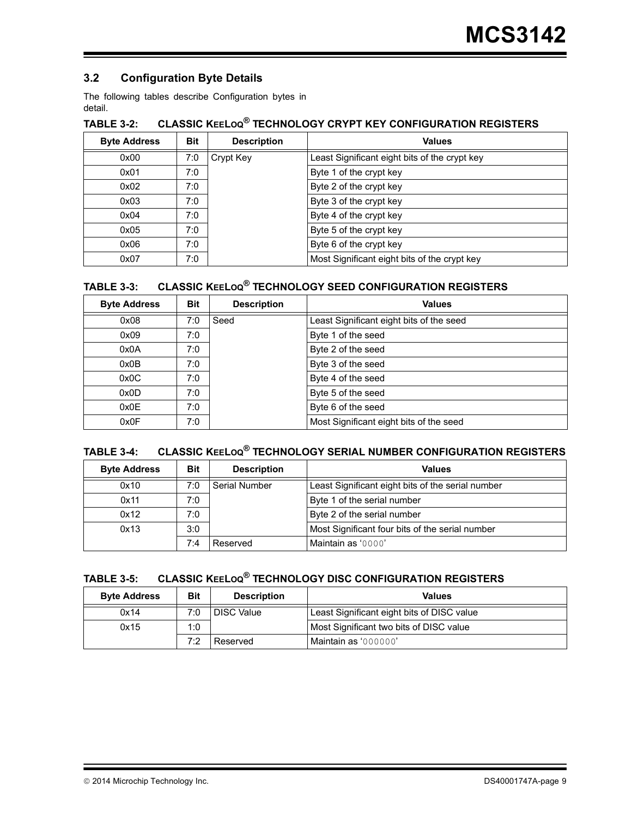## **3.2 Configuration Byte Details**

The following tables describe Configuration bytes in detail.

# **TABLE 3-2: CLASSIC KEELOQ® TECHNOLOGY CRYPT KEY CONFIGURATION REGISTERS**

| <b>Byte Address</b> | <b>Bit</b> | <b>Description</b> | <b>Values</b>                                 |
|---------------------|------------|--------------------|-----------------------------------------------|
| 0x00                | 7:0        | Crypt Key          | Least Significant eight bits of the crypt key |
| 0x01                | 7:0        |                    | Byte 1 of the crypt key                       |
| 0x02                | 7:0        |                    | Byte 2 of the crypt key                       |
| 0x03                | 7:0        |                    | Byte 3 of the crypt key                       |
| 0x04                | 7:0        |                    | Byte 4 of the crypt key                       |
| 0x05                | 7:0        |                    | Byte 5 of the crypt key                       |
| 0x06                | 7:0        |                    | Byte 6 of the crypt key                       |
| 0x07                | 7:0        |                    | Most Significant eight bits of the crypt key  |

# **TABLE 3-3: CLASSIC KEELOQ® TECHNOLOGY SEED CONFIGURATION REGISTERS**

| <b>Byte Address</b> | Bit | <b>Description</b> | <b>Values</b>                            |
|---------------------|-----|--------------------|------------------------------------------|
| 0x08                | 7:0 | Seed               | Least Significant eight bits of the seed |
| 0x09                | 7:0 |                    | Byte 1 of the seed                       |
| 0x0A                | 7:0 |                    | Byte 2 of the seed                       |
| 0x0B                | 7:0 |                    | Byte 3 of the seed                       |
| 0x0C                | 7:0 |                    | Byte 4 of the seed                       |
| 0x0D                | 7:0 |                    | Byte 5 of the seed                       |
| 0x0E                | 7:0 |                    | Byte 6 of the seed                       |
| 0x0F                | 7:0 |                    | Most Significant eight bits of the seed  |

# <span id="page-8-0"></span>**TABLE 3-4: CLASSIC KEELOQ® TECHNOLOGY SERIAL NUMBER CONFIGURATION REGISTERS**

| <b>Byte Address</b> | Bit | <b>Description</b> | <b>Values</b>                                     |
|---------------------|-----|--------------------|---------------------------------------------------|
| 0x10                | 7:0 | Serial Number      | Least Significant eight bits of the serial number |
| 0x11                | 7:0 |                    | Byte 1 of the serial number                       |
| 0x12                | 7:0 |                    | Byte 2 of the serial number                       |
| 0x13                | 3:0 |                    | Most Significant four bits of the serial number   |
|                     | 7:4 | Reserved           | Maintain as '0000'                                |

<span id="page-8-1"></span>

| <b>TABLE 3-5:</b> |  | <b>CLASSIC KEELOQ<sup>®</sup> TECHNOLOGY DISC CONFIGURATION REGISTERS</b> |  |
|-------------------|--|---------------------------------------------------------------------------|--|
|-------------------|--|---------------------------------------------------------------------------|--|

| <b>Byte Address</b> | <b>Bit</b> | <b>Description</b> | <b>Values</b>                              |
|---------------------|------------|--------------------|--------------------------------------------|
| 0x14                | 7:0        | l DISC Value       | Least Significant eight bits of DISC value |
| 0x15                | 1:0        |                    | Most Significant two bits of DISC value    |
|                     | 7:2        | Reserved           | Maintain as '000000'                       |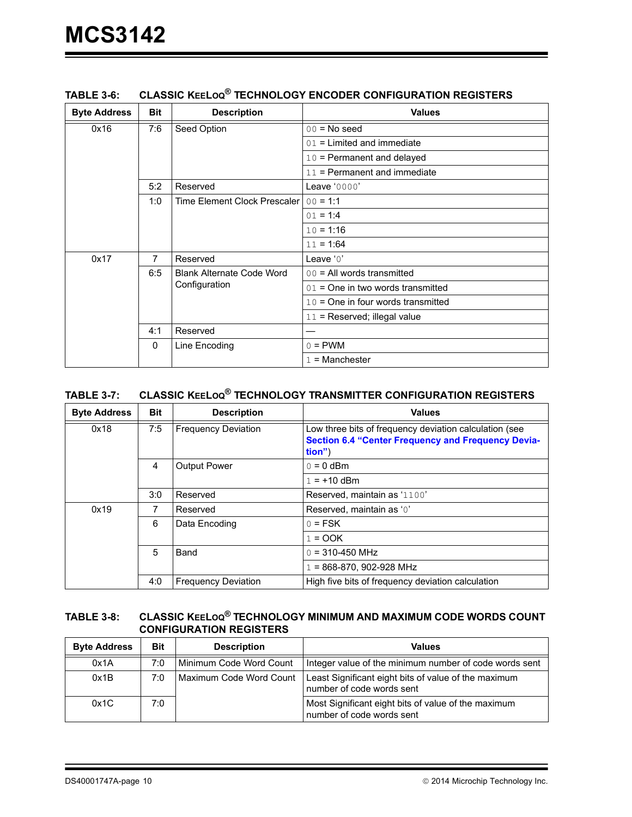| <b>Byte Address</b> | <b>Bit</b> | <b>Description</b>             | <b>Values</b>                        |
|---------------------|------------|--------------------------------|--------------------------------------|
| 0x16                | 7:6        | Seed Option                    | $00 = No seed$                       |
|                     |            |                                | $01$ = Limited and immediate         |
|                     |            |                                | $10$ = Permanent and delayed         |
|                     |            |                                | $11$ = Permanent and immediate       |
|                     | 5:2        | Reserved                       | Leave '0000'                         |
|                     | 1:0        | Time Element Clock Prescaler I | $00 = 1:1$                           |
|                     |            |                                | $01 = 1:4$                           |
|                     |            |                                | $10 = 1:16$                          |
|                     |            |                                | $11 = 1:64$                          |
| 0x17                | 7          | Reserved                       | Leave '0'                            |
|                     | 6:5        | Blank Alternate Code Word      | 00 = All words transmitted           |
|                     |            | Configuration                  | $01 =$ One in two words transmitted  |
|                     |            |                                | $10 =$ One in four words transmitted |
|                     |            |                                | $11$ = Reserved; illegal value       |
|                     | 4:1        | Reserved                       |                                      |
|                     | 0          | Line Encoding                  | $0 = PWM$                            |
|                     |            |                                | $1 =$ Manchester                     |

# <span id="page-9-0"></span>**TABLE 3-6: CLASSIC KEELOQ® TECHNOLOGY ENCODER CONFIGURATION REGISTERS**

# <span id="page-9-1"></span>**TABLE 3-7: CLASSIC KEELOQ® TECHNOLOGY TRANSMITTER CONFIGURATION REGISTERS**

| <b>Byte Address</b> | <b>Bit</b> | <b>Description</b>         | <b>Values</b>                                                                                                                 |
|---------------------|------------|----------------------------|-------------------------------------------------------------------------------------------------------------------------------|
| 0x18                | 7:5        | <b>Frequency Deviation</b> | Low three bits of frequency deviation calculation (see<br><b>Section 6.4 "Center Frequency and Frequency Devia-</b><br>tion") |
|                     | 4          | <b>Output Power</b>        | $0 = 0$ dBm                                                                                                                   |
|                     |            |                            | $1 = +10$ dBm                                                                                                                 |
|                     | 3:0        | Reserved                   | Reserved, maintain as '1100'                                                                                                  |
| 0x19                | 7          | Reserved                   | Reserved, maintain as '0'                                                                                                     |
|                     | 6          | Data Encoding              | $0 = FSK$                                                                                                                     |
|                     |            |                            | $1 = OOK$                                                                                                                     |
|                     | 5          | Band                       | $0 = 310 - 450$ MHz                                                                                                           |
|                     |            |                            | $1 = 868 - 870$ , 902-928 MHz                                                                                                 |
|                     | 4:0        | <b>Frequency Deviation</b> | High five bits of frequency deviation calculation                                                                             |

## <span id="page-9-2"></span>**TABLE 3-8: CLASSIC KEELOQ® TECHNOLOGY MINIMUM AND MAXIMUM CODE WORDS COUNT CONFIGURATION REGISTERS**

| <b>Byte Address</b> | Bit | <b>Description</b>      | <b>Values</b>                                                                     |
|---------------------|-----|-------------------------|-----------------------------------------------------------------------------------|
| 0x1A                | 7:0 | Minimum Code Word Count | Integer value of the minimum number of code words sent                            |
| 0x1B                | 7:0 | Maximum Code Word Count | Least Significant eight bits of value of the maximum<br>number of code words sent |
| 0x1C                | 7:0 |                         | Most Significant eight bits of value of the maximum<br>number of code words sent  |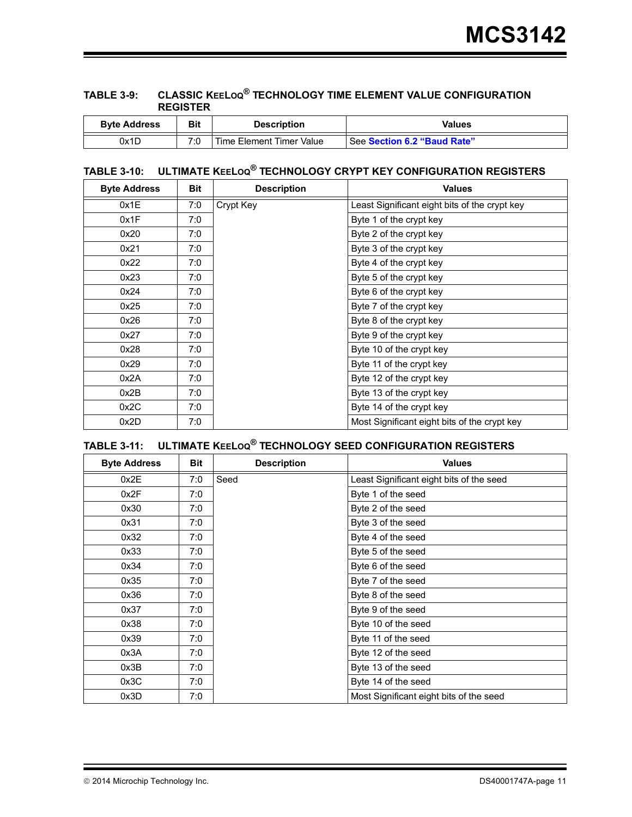## <span id="page-10-0"></span>**TABLE 3-9: CLASSIC KEELOQ® TECHNOLOGY TIME ELEMENT VALUE CONFIGURATION REGISTER**

| <b>Byte Address</b> | Bit | <b>Description</b>       | <b>Values</b>               |
|---------------------|-----|--------------------------|-----------------------------|
| 0x1D                | 7.0 | Time Element Timer Value | See Section 6.2 "Baud Rate" |

# **TABLE 3-10: ULTIMATE KEELOQ® TECHNOLOGY CRYPT KEY CONFIGURATION REGISTERS**

| <b>Byte Address</b> | <b>Bit</b> | <b>Description</b> | <b>Values</b>                                 |
|---------------------|------------|--------------------|-----------------------------------------------|
| 0x1E                | 7:0        | Crypt Key          | Least Significant eight bits of the crypt key |
| 0x1F                | 7:0        |                    | Byte 1 of the crypt key                       |
| 0x20                | 7:0        |                    | Byte 2 of the crypt key                       |
| 0x21                | 7:0        |                    | Byte 3 of the crypt key                       |
| 0x22                | 7:0        |                    | Byte 4 of the crypt key                       |
| 0x23                | 7:0        |                    | Byte 5 of the crypt key                       |
| 0x24                | 7:0        |                    | Byte 6 of the crypt key                       |
| 0x25                | 7:0        |                    | Byte 7 of the crypt key                       |
| 0x26                | 7:0        |                    | Byte 8 of the crypt key                       |
| 0x27                | 7:0        |                    | Byte 9 of the crypt key                       |
| 0x28                | 7:0        |                    | Byte 10 of the crypt key                      |
| 0x29                | 7:0        |                    | Byte 11 of the crypt key                      |
| 0x2A                | 7:0        |                    | Byte 12 of the crypt key                      |
| 0x2B                | 7:0        |                    | Byte 13 of the crypt key                      |
| 0x2C                | 7:0        |                    | Byte 14 of the crypt key                      |
| 0x2D                | 7:0        |                    | Most Significant eight bits of the crypt key  |

# **TABLE 3-11: ULTIMATE KEELOQ® TECHNOLOGY SEED CONFIGURATION REGISTERS**

| <b>Byte Address</b> | <b>Bit</b> | <b>Description</b> | <b>Values</b>                            |
|---------------------|------------|--------------------|------------------------------------------|
| 0x2E                | 7:0        | Seed               | Least Significant eight bits of the seed |
| 0x2F                | 7:0        |                    | Byte 1 of the seed                       |
| 0x30                | 7:0        |                    | Byte 2 of the seed                       |
| 0x31                | 7:0        |                    | Byte 3 of the seed                       |
| 0x32                | 7:0        |                    | Byte 4 of the seed                       |
| 0x33                | 7:0        |                    | Byte 5 of the seed                       |
| 0x34                | 7:0        |                    | Byte 6 of the seed                       |
| 0x35                | 7:0        |                    | Byte 7 of the seed                       |
| 0x36                | 7:0        |                    | Byte 8 of the seed                       |
| 0x37                | 7:0        |                    | Byte 9 of the seed                       |
| 0x38                | 7:0        |                    | Byte 10 of the seed                      |
| 0x39                | 7:0        |                    | Byte 11 of the seed                      |
| 0x3A                | 7:0        |                    | Byte 12 of the seed                      |
| 0x3B                | 7:0        |                    | Byte 13 of the seed                      |
| 0x3C                | 7:0        |                    | Byte 14 of the seed                      |
| 0x3D                | 7:0        |                    | Most Significant eight bits of the seed  |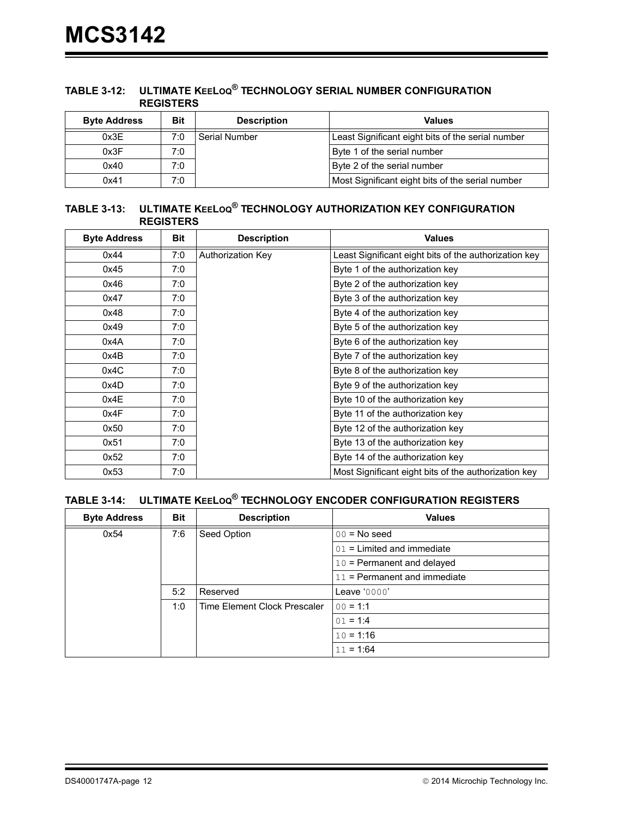| <b>REGISTERS</b>    |            |                                                                    |                                                  |  |
|---------------------|------------|--------------------------------------------------------------------|--------------------------------------------------|--|
| <b>Byte Address</b> | <b>Bit</b> | <b>Description</b>                                                 | <b>Values</b>                                    |  |
| 0x3E                | 7:0        | Least Significant eight bits of the serial number<br>Serial Number |                                                  |  |
| 0x3F                | 7:0        | Byte 1 of the serial number                                        |                                                  |  |
| 0x40                | 7:0        |                                                                    | Byte 2 of the serial number                      |  |
| 0x41                | 7:0        |                                                                    | Most Significant eight bits of the serial number |  |

# <span id="page-11-1"></span>**TABLE 3-12: ULTIMATE KEELOQ® TECHNOLOGY SERIAL NUMBER CONFIGURATION REGISTERS**

## <span id="page-11-0"></span>**TABLE 3-13: ULTIMATE KEELOQ® TECHNOLOGY AUTHORIZATION KEY CONFIGURATION REGISTERS**

| <b>Byte Address</b> | <b>Bit</b> | <b>Description</b> | <b>Values</b>                                         |
|---------------------|------------|--------------------|-------------------------------------------------------|
| 0x44                | 7:0        | Authorization Key  | Least Significant eight bits of the authorization key |
| 0x45                | 7:0        |                    | Byte 1 of the authorization key                       |
| 0x46                | 7:0        |                    | Byte 2 of the authorization key                       |
| 0x47                | 7:0        |                    | Byte 3 of the authorization key                       |
| 0x48                | 7:0        |                    | Byte 4 of the authorization key                       |
| 0x49                | 7:0        |                    | Byte 5 of the authorization key                       |
| 0x4A                | 7:0        |                    | Byte 6 of the authorization key                       |
| 0x4B                | 7:0        |                    | Byte 7 of the authorization key                       |
| 0x4C                | 7:0        |                    | Byte 8 of the authorization key                       |
| 0x4D                | 7:0        |                    | Byte 9 of the authorization key                       |
| 0x4E                | 7:0        |                    | Byte 10 of the authorization key                      |
| 0x4F                | 7:0        |                    | Byte 11 of the authorization key                      |
| 0x50                | 7:0        |                    | Byte 12 of the authorization key                      |
| 0x51                | 7:0        |                    | Byte 13 of the authorization key                      |
| 0x52                | 7:0        |                    | Byte 14 of the authorization key                      |
| 0x53                | 7:0        |                    | Most Significant eight bits of the authorization key  |

# <span id="page-11-2"></span>**TABLE 3-14: ULTIMATE KEELOQ® TECHNOLOGY ENCODER CONFIGURATION REGISTERS**

| <b>Byte Address</b> | Bit | <b>Description</b>            | <b>Values</b>                  |
|---------------------|-----|-------------------------------|--------------------------------|
| 0x54                | 7:6 | Seed Option<br>$00 = No seed$ |                                |
|                     |     |                               | $01$ = Limited and immediate   |
|                     |     |                               | 10 = Permanent and delayed     |
|                     |     |                               | $11$ = Permanent and immediate |
|                     | 5:2 | Reserved                      | Leave '0000'                   |
|                     | 1:0 | Time Element Clock Prescaler  | $00 = 1:1$                     |
|                     |     |                               | $01 = 1:4$                     |
|                     |     |                               | $10 = 1:16$                    |
|                     |     |                               | $11 = 1:64$                    |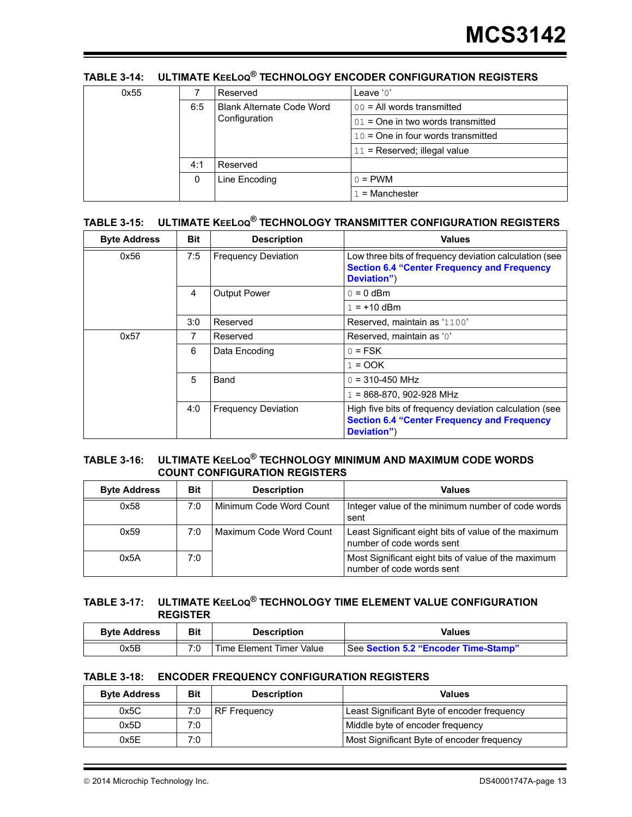| 0x55 |     | Reserved                                          | Leave '0'                            |
|------|-----|---------------------------------------------------|--------------------------------------|
|      | 6:5 | <b>Blank Alternate Code Word</b><br>Configuration | $00 =$ All words transmitted         |
|      |     |                                                   | $01 =$ One in two words transmitted  |
|      |     |                                                   | $10 =$ One in four words transmitted |
|      |     |                                                   | 11 = Reserved; illegal value         |
|      | 4:1 | Reserved                                          |                                      |
|      | 0   | Line Encoding                                     | $0 = PWM$                            |
|      |     |                                                   | $1 =$ Manchester                     |

# **TABLE 3-14: ULTIMATE KEELOQ® TECHNOLOGY ENCODER CONFIGURATION REGISTERS**

## <span id="page-12-1"></span>**TABLE 3-15: ULTIMATE KEELOQ® TECHNOLOGY TRANSMITTER CONFIGURATION REGISTERS**

| <b>Byte Address</b> | <b>Bit</b> | <b>Description</b>         | <b>Values</b>                                                                                                               |  |
|---------------------|------------|----------------------------|-----------------------------------------------------------------------------------------------------------------------------|--|
| 0x56                | 7:5        | <b>Frequency Deviation</b> | Low three bits of frequency deviation calculation (see<br><b>Section 6.4 "Center Frequency and Frequency</b><br>Deviation") |  |
|                     | 4          | <b>Output Power</b>        | $0 = 0$ dBm                                                                                                                 |  |
|                     |            |                            | $1 = +10$ dBm                                                                                                               |  |
|                     | 3:0        | Reserved                   | Reserved, maintain as '1100'                                                                                                |  |
| 0x57                |            | Reserved                   | Reserved, maintain as '0'                                                                                                   |  |
|                     | 6          | Data Encoding              | $0 = FSK$                                                                                                                   |  |
|                     |            |                            | $1 = OOK$                                                                                                                   |  |
|                     | 5          | Band                       | $0 = 310 - 450$ MHz                                                                                                         |  |
|                     |            |                            | $1 = 868 - 870$ , 902-928 MHz                                                                                               |  |
|                     | 4:0        | <b>Frequency Deviation</b> | High five bits of frequency deviation calculation (see<br><b>Section 6.4 "Center Frequency and Frequency</b><br>Deviation") |  |

## <span id="page-12-3"></span>**TABLE 3-16: ULTIMATE KEELOQ® TECHNOLOGY MINIMUM AND MAXIMUM CODE WORDS COUNT CONFIGURATION REGISTERS**

| <b>Byte Address</b> | <b>Bit</b> | <b>Description</b>      | <b>Values</b>                                                                     |
|---------------------|------------|-------------------------|-----------------------------------------------------------------------------------|
| 0x58                | 7:0        | Minimum Code Word Count | Integer value of the minimum number of code words<br>sent                         |
| 0x59                | 7:0        | Maximum Code Word Count | Least Significant eight bits of value of the maximum<br>number of code words sent |
| 0x5A                | 7:0        |                         | Most Significant eight bits of value of the maximum<br>number of code words sent  |

#### <span id="page-12-0"></span>**TABLE 3-17: ULTIMATE KEELOQ® TECHNOLOGY TIME ELEMENT VALUE CONFIGURATION REGISTER**

| <b>Byte Address</b> | Bit | <b>Description</b>       | Values                               |  |
|---------------------|-----|--------------------------|--------------------------------------|--|
| 0x5B                | 7.0 | Time Element Timer Value | See Section 5.2 "Encoder Time-Stamp" |  |

#### <span id="page-12-2"></span>**TABLE 3-18: ENCODER FREQUENCY CONFIGURATION REGISTERS**

| <b>Byte Address</b> | Bit  | <b>Description</b>                         | <b>Values</b>                               |
|---------------------|------|--------------------------------------------|---------------------------------------------|
| 0x5C                | 7:0  | <b>RF Frequency</b>                        | Least Significant Byte of encoder frequency |
| 0x5D                | 7:0∴ | Middle byte of encoder frequency           |                                             |
| 0x5E                | 7:0  | Most Significant Byte of encoder frequency |                                             |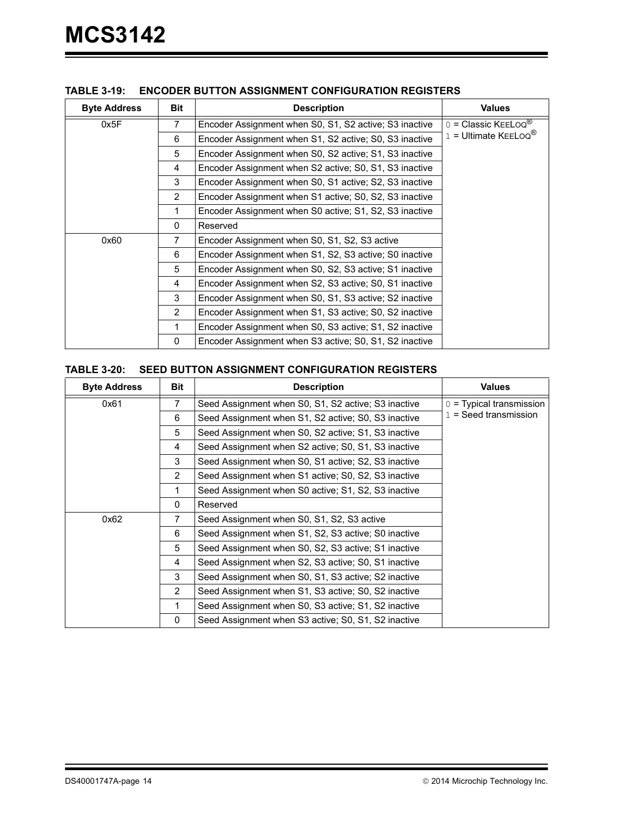| <b>Byte Address</b> | <b>Bit</b>     | <b>Description</b>                                     | <b>Values</b>                     |
|---------------------|----------------|--------------------------------------------------------|-----------------------------------|
| 0x5F                | 7              | Encoder Assignment when S0, S1, S2 active; S3 inactive | $0 =$ Classic KEELOQ <sup>®</sup> |
|                     | 6              | Encoder Assignment when S1, S2 active; S0, S3 inactive | 1 = Ultimate KEELOQ <sup>®</sup>  |
|                     | 5              | Encoder Assignment when S0, S2 active; S1, S3 inactive |                                   |
|                     | 4              | Encoder Assignment when S2 active; S0, S1, S3 inactive |                                   |
|                     | 3              | Encoder Assignment when S0, S1 active; S2, S3 inactive |                                   |
|                     | 2              | Encoder Assignment when S1 active; S0, S2, S3 inactive |                                   |
|                     | 1              | Encoder Assignment when S0 active; S1, S2, S3 inactive |                                   |
|                     | 0              | Reserved                                               |                                   |
| 0x60                | $\overline{7}$ | Encoder Assignment when S0, S1, S2, S3 active          |                                   |
|                     | 6              | Encoder Assignment when S1, S2, S3 active; S0 inactive |                                   |
|                     | 5              | Encoder Assignment when S0, S2, S3 active; S1 inactive |                                   |
|                     | 4              | Encoder Assignment when S2, S3 active; S0, S1 inactive |                                   |
|                     | 3              | Encoder Assignment when S0, S1, S3 active; S2 inactive |                                   |
|                     | $\overline{2}$ | Encoder Assignment when S1, S3 active; S0, S2 inactive |                                   |
|                     | 1              | Encoder Assignment when S0, S3 active; S1, S2 inactive |                                   |
|                     | 0              | Encoder Assignment when S3 active; S0, S1, S2 inactive |                                   |

#### <span id="page-13-0"></span>**TABLE 3-19: ENCODER BUTTON ASSIGNMENT CONFIGURATION REGISTERS**

#### <span id="page-13-1"></span>**TABLE 3-20: SEED BUTTON ASSIGNMENT CONFIGURATION REGISTERS**

| <b>Byte Address</b> | Bit | <b>Description</b>                                  | Values                     |
|---------------------|-----|-----------------------------------------------------|----------------------------|
| 0x61                | 7   | Seed Assignment when S0, S1, S2 active; S3 inactive | $0 =$ Typical transmission |
|                     | 6   | Seed Assignment when S1, S2 active; S0, S3 inactive | $1 =$ Seed transmission    |
|                     | 5   | Seed Assignment when S0, S2 active; S1, S3 inactive |                            |
|                     | 4   | Seed Assignment when S2 active; S0, S1, S3 inactive |                            |
|                     | 3   | Seed Assignment when S0, S1 active; S2, S3 inactive |                            |
|                     | 2   | Seed Assignment when S1 active; S0, S2, S3 inactive |                            |
|                     |     | Seed Assignment when S0 active; S1, S2, S3 inactive |                            |
|                     | 0   | Reserved                                            |                            |
| 0x62                | 7   | Seed Assignment when S0, S1, S2, S3 active          |                            |
|                     | 6   | Seed Assignment when S1, S2, S3 active; S0 inactive |                            |
|                     | 5   | Seed Assignment when S0, S2, S3 active; S1 inactive |                            |
|                     | 4   | Seed Assignment when S2, S3 active; S0, S1 inactive |                            |
|                     | 3   | Seed Assignment when S0, S1, S3 active; S2 inactive |                            |
|                     | 2   | Seed Assignment when S1, S3 active; S0, S2 inactive |                            |
|                     |     | Seed Assignment when S0, S3 active; S1, S2 inactive |                            |
|                     | 0   | Seed Assignment when S3 active: S0, S1, S2 inactive |                            |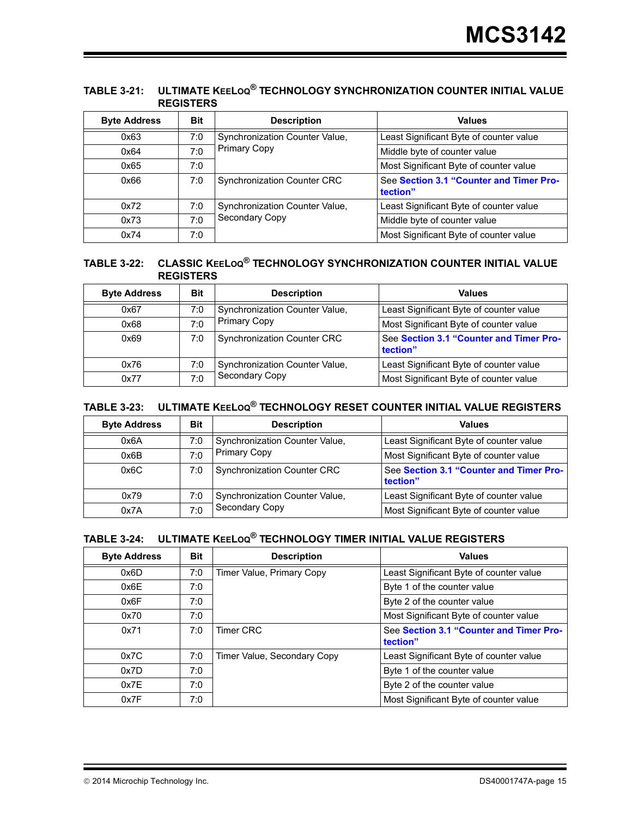|                     | <b>REGISTERS</b> |                                |                                                     |  |
|---------------------|------------------|--------------------------------|-----------------------------------------------------|--|
| <b>Byte Address</b> | Bit              | <b>Description</b>             | <b>Values</b>                                       |  |
| 0x63                | 7:0              | Synchronization Counter Value, | Least Significant Byte of counter value             |  |
| 0x64                | 7:0              | <b>Primary Copy</b>            | Middle byte of counter value                        |  |
| 0x65                | 7:0              |                                | Most Significant Byte of counter value              |  |
| 0x66                | 7:0              | Synchronization Counter CRC    | See Section 3.1 "Counter and Timer Pro-<br>tection" |  |
| 0x72                | 7:0              | Synchronization Counter Value, | Least Significant Byte of counter value             |  |
| 0x73                | 7:0              | Secondary Copy                 | Middle byte of counter value                        |  |
| 0x74                | 7:0              |                                | Most Significant Byte of counter value              |  |

## <span id="page-14-1"></span>**TABLE 3-21: ULTIMATE KEELOQ® TECHNOLOGY SYNCHRONIZATION COUNTER INITIAL VALUE REGISTERS**

### <span id="page-14-0"></span>**TABLE 3-22: CLASSIC KEELOQ® TECHNOLOGY SYNCHRONIZATION COUNTER INITIAL VALUE REGISTERS**

| <b>Byte Address</b> | Bit | <b>Description</b>             | <b>Values</b>                                       |
|---------------------|-----|--------------------------------|-----------------------------------------------------|
| 0x67                | 7:0 | Synchronization Counter Value, | Least Significant Byte of counter value             |
| 0x68                | 7:0 | <b>Primary Copy</b>            | Most Significant Byte of counter value              |
| 0x69                | 7:0 | Synchronization Counter CRC    | See Section 3.1 "Counter and Timer Pro-<br>tection" |
| 0x76                | 7:0 | Synchronization Counter Value, | Least Significant Byte of counter value             |
| 0x77                | 7:0 | Secondary Copy                 | Most Significant Byte of counter value              |

# <span id="page-14-3"></span>**TABLE 3-23: ULTIMATE KEELOQ® TECHNOLOGY RESET COUNTER INITIAL VALUE REGISTERS**

| <b>Byte Address</b> | Bit | <b>Description</b>                 | <b>Values</b>                                       |
|---------------------|-----|------------------------------------|-----------------------------------------------------|
| 0x6A                | 7:0 | Synchronization Counter Value,     | Least Significant Byte of counter value             |
| 0x6B                | 7۰0 | <b>Primary Copy</b>                | Most Significant Byte of counter value              |
| 0x6C                | 7:0 | <b>Synchronization Counter CRC</b> | See Section 3.1 "Counter and Timer Pro-<br>tection" |
| 0x79                | 7:0 | Synchronization Counter Value,     | Least Significant Byte of counter value             |
| 0x7A                | 7:0 | Secondary Copy                     | Most Significant Byte of counter value              |

## <span id="page-14-2"></span>**TABLE 3-24: ULTIMATE KEELOQ® TECHNOLOGY TIMER INITIAL VALUE REGISTERS**

| <b>Byte Address</b> | <b>Bit</b> | <b>Description</b>          | <b>Values</b>                                       |
|---------------------|------------|-----------------------------|-----------------------------------------------------|
| 0x6D                | 7:0        | Timer Value, Primary Copy   | Least Significant Byte of counter value             |
| 0x6E                | 7:0        |                             | Byte 1 of the counter value                         |
| 0x6F                | 7:0        |                             | Byte 2 of the counter value                         |
| 0x70                | 7:0        |                             | Most Significant Byte of counter value              |
| 0x71                | 7:0        | <b>Timer CRC</b>            | See Section 3.1 "Counter and Timer Pro-<br>tection" |
| 0x7C                | 7:0        | Timer Value, Secondary Copy | Least Significant Byte of counter value             |
| 0x7D                | 7:0        |                             | Byte 1 of the counter value                         |
| 0x7E                | 7:0        |                             | Byte 2 of the counter value                         |
| 0x7F                | 7:0        |                             | Most Significant Byte of counter value              |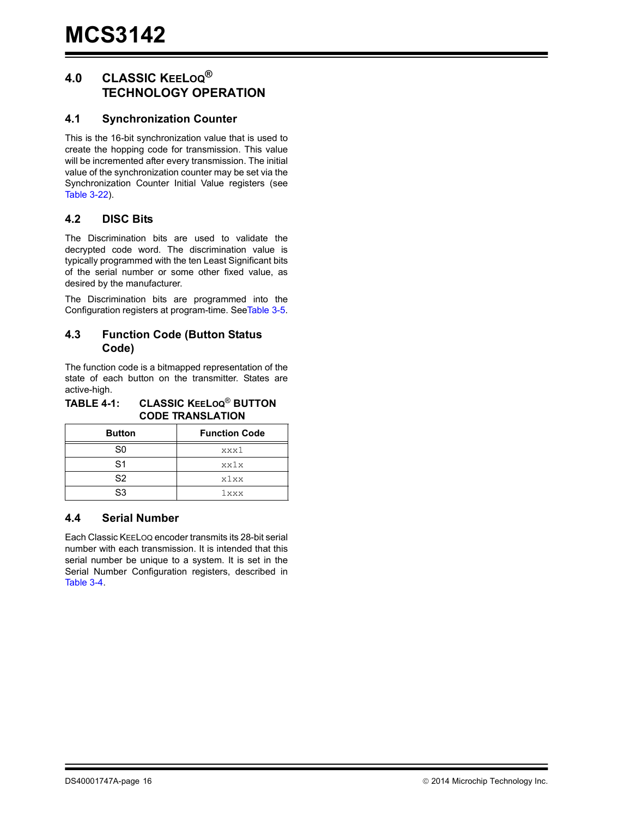# <span id="page-15-0"></span>**4.0 CLASSIC KEELOQ® TECHNOLOGY OPERATION**

#### **4.1 Synchronization Counter**

This is the 16-bit synchronization value that is used to create the hopping code for transmission. This value will be incremented after every transmission. The initial value of the synchronization counter may be set via the Synchronization Counter Initial Value registers (see [Table 3-22\)](#page-14-0).

#### **4.2 DISC Bits**

The Discrimination bits are used to validate the decrypted code word. The discrimination value is typically programmed with the ten Least Significant bits of the serial number or some other fixed value, as desired by the manufacturer.

The Discrimination bits are programmed into the Configuration registers at program-time. See[Table 3-5](#page-8-1).

#### **4.3 Function Code (Button Status Code)**

The function code is a bitmapped representation of the state of each button on the transmitter. States are active-high.

**TABLE 4-1: CLASSIC KEELOQ**® **BUTTON CODE TRANSLATION**

| <b>Button</b>  | <b>Function Code</b> |
|----------------|----------------------|
| S٥             | xxx1                 |
| S <sub>1</sub> | xx1x                 |
| S2             | x1xx                 |
| S3             | 1xxx                 |

#### **4.4 Serial Number**

Each Classic KEELOQ encoder transmits its 28-bit serial number with each transmission. It is intended that this serial number be unique to a system. It is set in the Serial Number Configuration registers, described in [Table 3-4.](#page-8-0)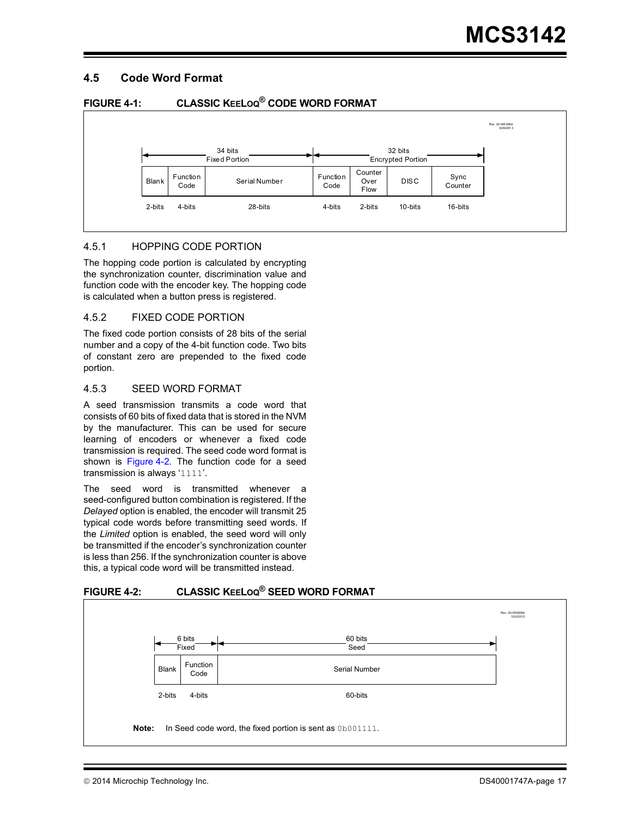#### **4.5 Code Word Format**



#### **FIGURE 4-1: CLASSIC KEELOQ® CODE WORD FORMAT**

#### 4.5.1 HOPPING CODE PORTION

The hopping code portion is calculated by encrypting the synchronization counter, discrimination value and function code with the encoder key. The hopping code is calculated when a button press is registered.

#### 4.5.2 FIXED CODE PORTION

The fixed code portion consists of 28 bits of the serial number and a copy of the 4-bit function code. Two bits of constant zero are prepended to the fixed code portion.

#### 4.5.3 SEED WORD FORMAT

A seed transmission transmits a code word that consists of 60 bits of fixed data that is stored in the NVM by the manufacturer. This can be used for secure learning of encoders or whenever a fixed code transmission is required. The seed code word format is shown is [Figure 4-2](#page-16-0). The function code for a seed transmission is always '1111'.

The seed word is transmitted whenever a seed-configured button combination is registered. If the *Delayed* option is enabled, the encoder will transmit 25 typical code words before transmitting seed words. If the *Limited* option is enabled, the seed word will only be transmitted if the encoder's synchronization counter is less than 256. If the synchronization counter is above this, a typical code word will be transmitted instead.

#### <span id="page-16-0"></span>**FIGURE 4-2: CLASSIC KEELOQ® SEED WORD FORMAT**

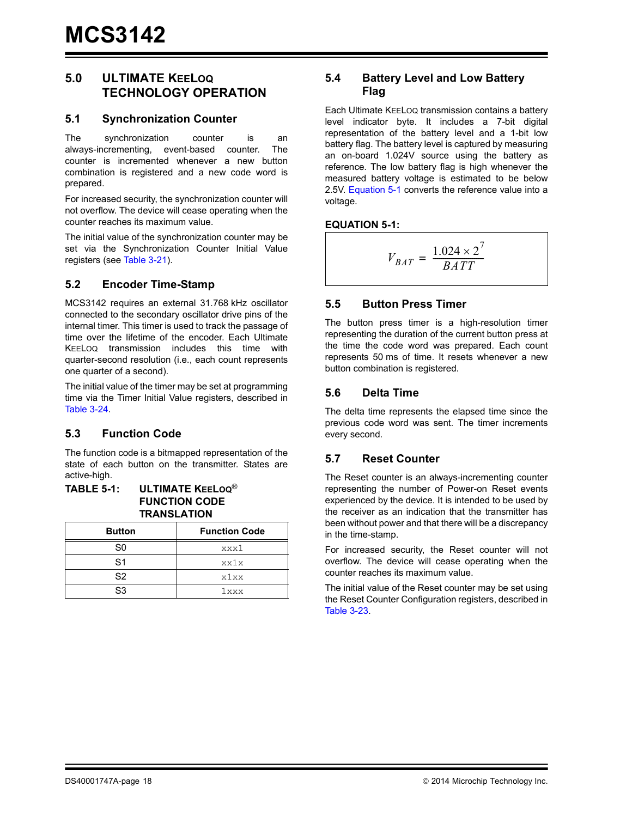## <span id="page-17-0"></span>**5.0 ULTIMATE KEELOQ TECHNOLOGY OPERATION**

#### **5.1 Synchronization Counter**

The synchronization counter is an always-incrementing, event-based counter. The counter is incremented whenever a new button combination is registered and a new code word is prepared.

For increased security, the synchronization counter will not overflow. The device will cease operating when the counter reaches its maximum value.

The initial value of the synchronization counter may be set via the Synchronization Counter Initial Value registers (see [Table 3-21\)](#page-14-1).

#### <span id="page-17-1"></span>**5.2 Encoder Time-Stamp**

MCS3142 requires an external 31.768 kHz oscillator connected to the secondary oscillator drive pins of the internal timer. This timer is used to track the passage of time over the lifetime of the encoder. Each Ultimate KEELOQ transmission includes this time with quarter-second resolution (i.e., each count represents one quarter of a second).

The initial value of the timer may be set at programming time via the Timer Initial Value registers, described in [Table 3-24.](#page-14-2)

#### **5.3 Function Code**

The function code is a bitmapped representation of the state of each button on the transmitter. States are active-high.

**TABLE 5-1: ULTIMATE KEELOQ**® **FUNCTION CODE TRANSLATION**

| <b>Button</b>  | <b>Function Code</b> |
|----------------|----------------------|
| S٥             | xxx1                 |
| S1             | xx1x                 |
| S <sub>2</sub> | x1xx                 |
| S3             | 1xxx                 |

#### <span id="page-17-3"></span>**5.4 Battery Level and Low Battery Flag**

Each Ultimate KEELOQ transmission contains a battery level indicator byte. It includes a 7-bit digital representation of the battery level and a 1-bit low battery flag. The battery level is captured by measuring an on-board 1.024V source using the battery as reference. The low battery flag is high whenever the measured battery voltage is estimated to be below 2.5V. [Equation 5-1](#page-17-2) converts the reference value into a voltage.

#### <span id="page-17-2"></span>**EQUATION 5-1:**

$$
V_{BAT} = \frac{1.024 \times 2^7}{BATT}
$$

#### **5.5 Button Press Timer**

The button press timer is a high-resolution timer representing the duration of the current button press at the time the code word was prepared. Each count represents 50 ms of time. It resets whenever a new button combination is registered.

#### **5.6 Delta Time**

The delta time represents the elapsed time since the previous code word was sent. The timer increments every second.

#### **5.7 Reset Counter**

The Reset counter is an always-incrementing counter representing the number of Power-on Reset events experienced by the device. It is intended to be used by the receiver as an indication that the transmitter has been without power and that there will be a discrepancy in the time-stamp.

For increased security, the Reset counter will not overflow. The device will cease operating when the counter reaches its maximum value.

The initial value of the Reset counter may be set using the Reset Counter Configuration registers, described in [Table 3-23.](#page-14-3)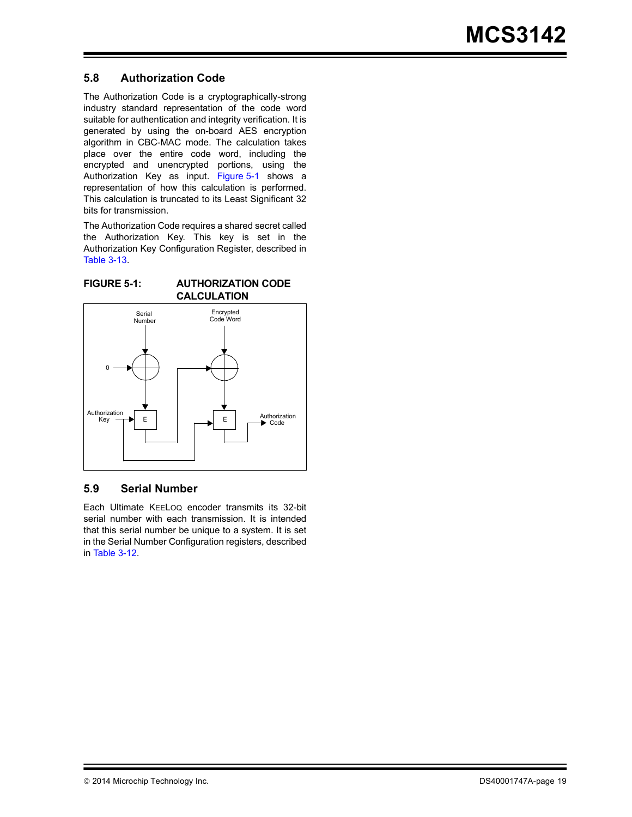#### **5.8 Authorization Code**

The Authorization Code is a cryptographically-strong industry standard representation of the code word suitable for authentication and integrity verification. It is generated by using the on-board AES encryption algorithm in CBC-MAC mode. The calculation takes place over the entire code word, including the encrypted and unencrypted portions, using the Authorization Key as input. [Figure 5-1](#page-18-0) shows a representation of how this calculation is performed. This calculation is truncated to its Least Significant 32 bits for transmission.

The Authorization Code requires a shared secret called the Authorization Key. This key is set in the Authorization Key Configuration Register, described in [Table 3-13.](#page-11-0)

<span id="page-18-0"></span>

## **5.9 Serial Number**

Each Ultimate KEELOQ encoder transmits its 32-bit serial number with each transmission. It is intended that this serial number be unique to a system. It is set in the Serial Number Configuration registers, described in [Table 3-12](#page-11-1).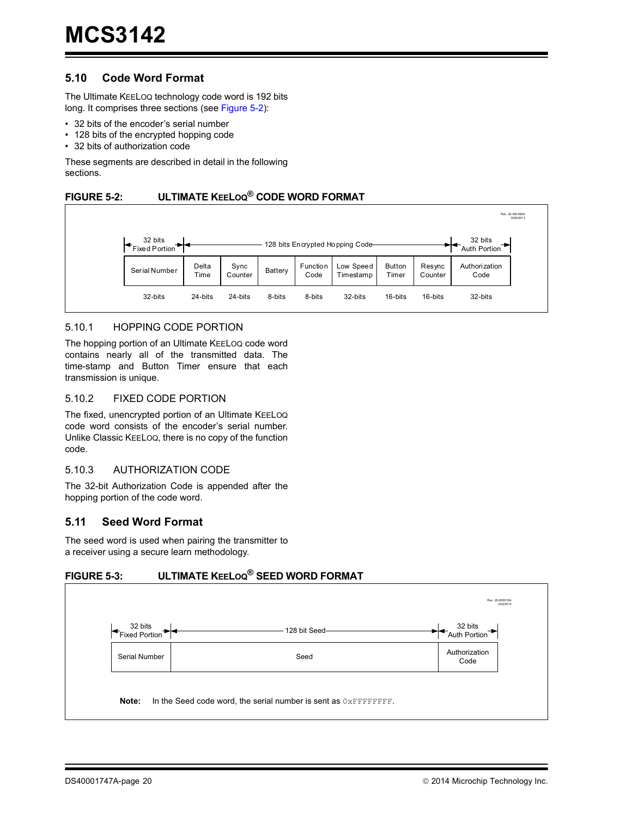#### **5.10 Code Word Format**

The Ultimate KEELOQ technology code word is 192 bits long. It comprises three sections (see [Figure 5-2](#page-19-0)):

- 32 bits of the encoder's serial number
- 128 bits of the encrypted hopping code
- 32 bits of authorization code

These segments are described in detail in the following sections.

#### <span id="page-19-0"></span>**FIGURE 5-2: ULTIMATE KEELOQ® CODE WORD FORMAT**



#### 5.10.1 HOPPING CODE PORTION

The hopping portion of an Ultimate KEELOQ code word contains nearly all of the transmitted data. The time-stamp and Button Timer ensure that each transmission is unique.

#### 5.10.2 FIXED CODE PORTION

The fixed, unencrypted portion of an Ultimate KEELOQ code word consists of the encoder's serial number. Unlike Classic KEELOQ, there is no copy of the function code.

#### 5.10.3 AUTHORIZATION CODE

The 32-bit Authorization Code is appended after the hopping portion of the code word.

#### **5.11 Seed Word Format**

The seed word is used when pairing the transmitter to a receiver using a secure learn methodology.

### **FIGURE 5-3: ULTIMATE KEELOQ® SEED WORD FORMAT**

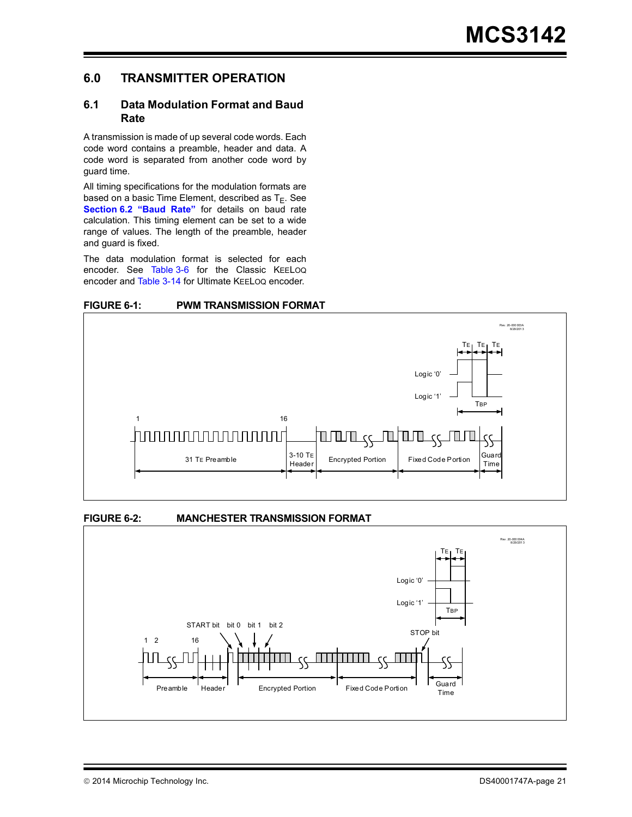# <span id="page-20-0"></span>**6.0 TRANSMITTER OPERATION**

#### <span id="page-20-1"></span>**6.1 Data Modulation Format and Baud Rate**

A transmission is made of up several code words. Each code word contains a preamble, header and data. A code word is separated from another code word by guard time.

All timing specifications for the modulation formats are based on a basic Time Element, described as  $T_F$ . See **[Section 6.2 "Baud Rate"](#page-21-1)** for details on baud rate calculation. This timing element can be set to a wide range of values. The length of the preamble, header and guard is fixed.

The data modulation format is selected for each encoder. See [Table 3-6](#page-9-0) for the Classic KEELOQ encoder and [Table 3-14](#page-11-2) for Ultimate KEELOQ encoder.

**FIGURE 6-1: PWM TRANSMISSION FORMAT**



**FIGURE 6-2: MANCHESTER TRANSMISSION FORMAT**

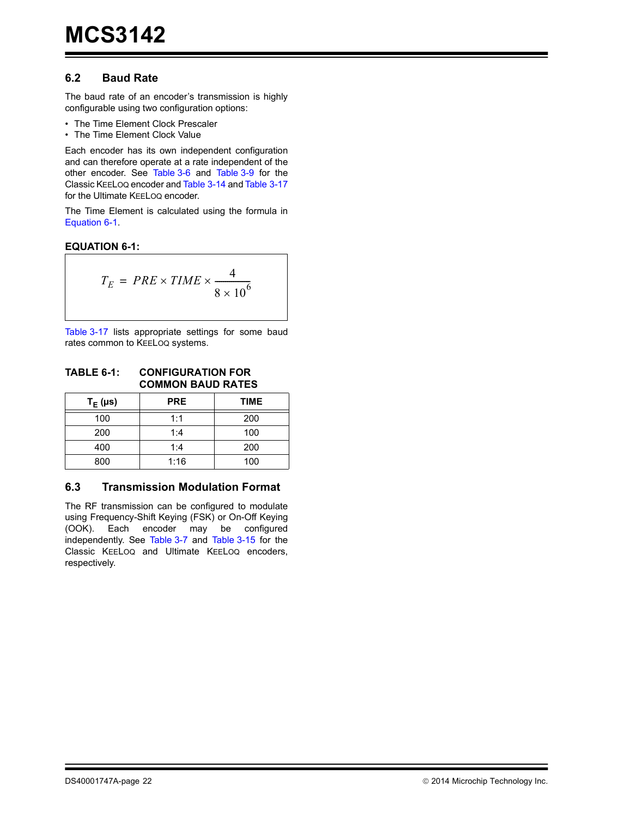#### <span id="page-21-1"></span><span id="page-21-0"></span>**6.2 Baud Rate**

The baud rate of an encoder's transmission is highly configurable using two configuration options:

- The Time Element Clock Prescaler
- The Time Element Clock Value

Each encoder has its own independent configuration and can therefore operate at a rate independent of the other encoder. See [Table 3-6](#page-9-0) and [Table 3-9](#page-10-0) for the Classic KEELOQ encoder and [Table 3-14](#page-11-2) and [Table 3-17](#page-12-0) for the Ultimate KEELOQ encoder.

The Time Element is calculated using the formula in [Equation 6-1.](#page-21-2)

<span id="page-21-2"></span>**EQUATION 6-1:**

$$
T_E = PRE \times TIME \times \frac{4}{8 \times 10^6}
$$

[Table 3-17](#page-12-0) lists appropriate settings for some baud rates common to KEELOQ systems.

#### **TABLE 6-1: CONFIGURATION FOR COMMON BAUD RATES**

| $T_E$ (µs) | <b>PRE</b> | <b>TIME</b> |
|------------|------------|-------------|
| 100        | 1:1        | 200         |
| 200        | 1:4        | 100         |
| 400        | 1:4        | 200         |
| 800        | 1:16       | 100         |

#### **6.3 Transmission Modulation Format**

The RF transmission can be configured to modulate using Frequency-Shift Keying (FSK) or On-Off Keying (OOK). Each encoder may be configured independently. See [Table 3-7](#page-9-1) and [Table 3-15](#page-12-1) for the Classic KEELOQ and Ultimate KEELOQ encoders, respectively.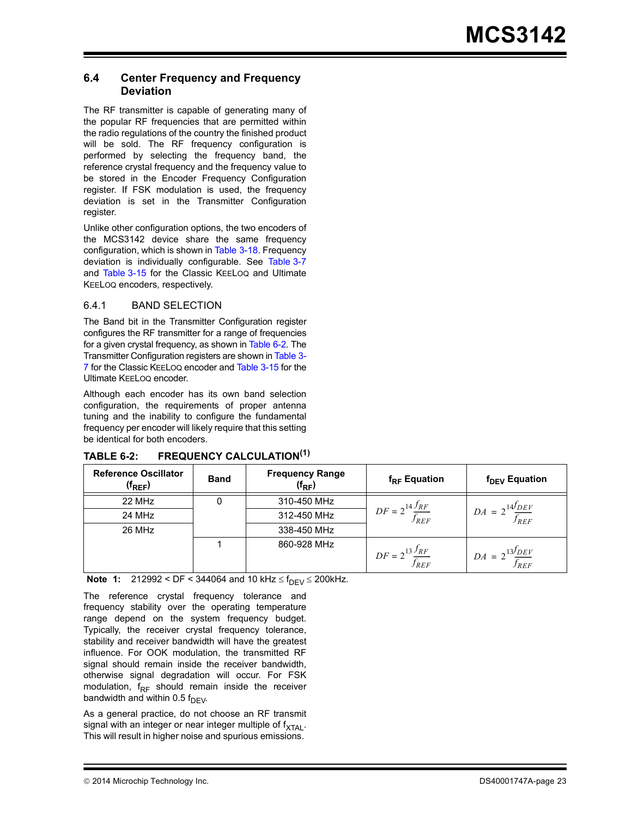#### <span id="page-22-0"></span>**6.4 Center Frequency and Frequency Deviation**

The RF transmitter is capable of generating many of the popular RF frequencies that are permitted within the radio regulations of the country the finished product will be sold. The RF frequency configuration is performed by selecting the frequency band, the reference crystal frequency and the frequency value to be stored in the Encoder Frequency Configuration register. If FSK modulation is used, the frequency deviation is set in the Transmitter Configuration register.

Unlike other configuration options, the two encoders of the MCS3142 device share the same frequency configuration, which is shown in [Table 3-18.](#page-12-2) Frequency deviation is individually configurable. See [Table 3-7](#page-9-1) and [Table 3-15](#page-12-1) for the Classic KEELOQ and Ultimate KEELOQ encoders, respectively.

#### 6.4.1 BAND SELECTION

The Band bit in the Transmitter Configuration register configures the RF transmitter for a range of frequencies for a given crystal frequency, as shown in [Table 6-2](#page-22-1). The Transmitter Configuration registers are shown in [Table 3-](#page-9-1) [7](#page-9-1) for the Classic KEELOQ encoder and [Table 3-15](#page-12-1) for the Ultimate KEELOQ encoder.

Although each encoder has its own band selection configuration, the requirements of proper antenna tuning and the inability to configure the fundamental frequency per encoder will likely require that this setting be identical for both encoders.

| <b>Reference Oscillator</b><br>$(f_{REF})$ | <b>Band</b> | <b>Frequency Range</b><br>$(f_{RF})$ | $f_{RF}$ Equation                                                | f <sub>DEV</sub> Equation           |
|--------------------------------------------|-------------|--------------------------------------|------------------------------------------------------------------|-------------------------------------|
| 22 MHz                                     |             | 310-450 MHz                          |                                                                  |                                     |
| 24 MHz                                     |             | 312-450 MHz                          | $DF = 2 \frac{14 f_{RF}}{f_{REF}}$                               | $DA = 2 \frac{14 J_{DEF}}{f_{REF}}$ |
| 26 MHz                                     |             | 338-450 MHz                          |                                                                  |                                     |
|                                            |             | 860-928 MHz                          | $13\frac{f_{RF}}{f}$<br>$DF = 2^{\circ}$<br>$\overline{f_{REF}}$ | $13$ DEV<br>$DA = 2$<br>$f_{REF}$   |

<span id="page-22-1"></span>**TABLE 6-2: FREQUENCY CALCULATION(1)**

**Note 1:** 212992 < DF < 344064 and 10 kHz  $\leq$  f<sub>DFV</sub>  $\leq$  200kHz.

The reference crystal frequency tolerance and frequency stability over the operating temperature range depend on the system frequency budget. Typically, the receiver crystal frequency tolerance, stability and receiver bandwidth will have the greatest influence. For OOK modulation, the transmitted RF signal should remain inside the receiver bandwidth, otherwise signal degradation will occur. For FSK modulation,  $f_{RF}$  should remain inside the receiver bandwidth and within 0.5  $f_{DEV}$ .

As a general practice, do not choose an RF transmit signal with an integer or near integer multiple of  $f_{\text{XTAL}}$ . This will result in higher noise and spurious emissions.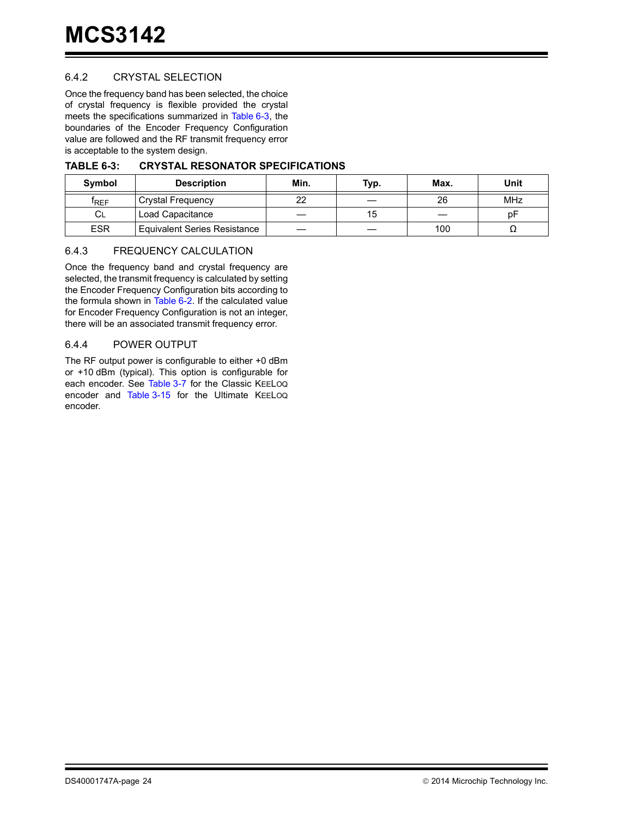#### 6.4.2 CRYSTAL SELECTION

Once the frequency band has been selected, the choice of crystal frequency is flexible provided the crystal meets the specifications summarized in [Table 6-3,](#page-23-0) the boundaries of the Encoder Frequency Configuration value are followed and the RF transmit frequency error is acceptable to the system design.

#### <span id="page-23-0"></span>**TABLE 6-3: CRYSTAL RESONATOR SPECIFICATIONS**

| Symbol           | <b>Description</b>                  | Min. | Typ. | Max. | Unit |
|------------------|-------------------------------------|------|------|------|------|
| <sup>T</sup> REF | Crystal Frequency                   | 22   |      | 26   | MHz  |
| СL               | Load Capacitance                    |      | 15   |      | D٣   |
| <b>ESR</b>       | <b>Equivalent Series Resistance</b> |      |      | 100  | ∸∸   |

#### 6.4.3 FREQUENCY CALCULATION

Once the frequency band and crystal frequency are selected, the transmit frequency is calculated by setting the Encoder Frequency Configuration bits according to the formula shown in [Table 6-2](#page-22-1). If the calculated value for Encoder Frequency Configuration is not an integer, there will be an associated transmit frequency error.

#### 6.4.4 POWER OUTPUT

The RF output power is configurable to either +0 dBm or +10 dBm (typical). This option is configurable for each encoder. See [Table 3-7](#page-9-1) for the Classic KEELOQ encoder and [Table 3-15](#page-12-1) for the Ultimate KEELOQ encoder.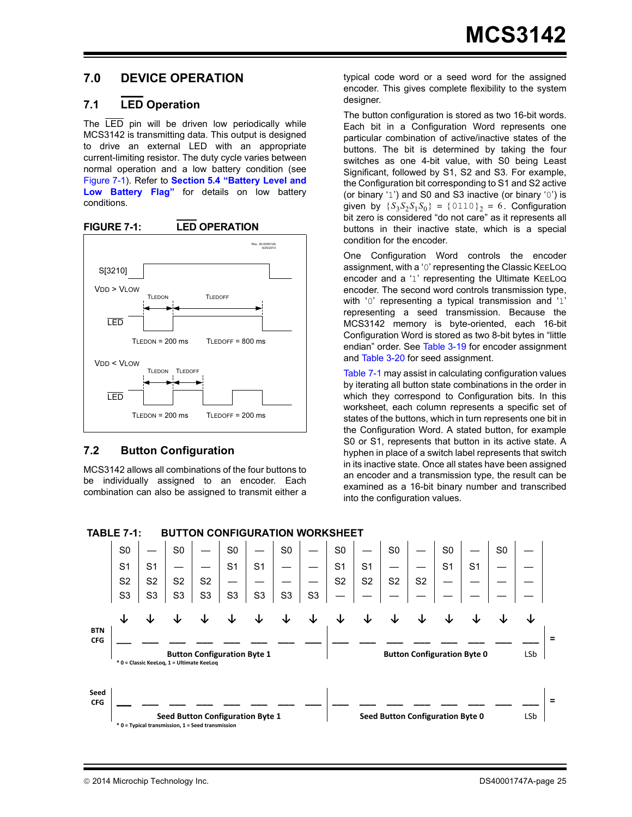# <span id="page-24-0"></span>**7.0 DEVICE OPERATION**

## **7.1 LED Operation**

The LED pin will be driven low periodically while MCS3142 is transmitting data. This output is designed to drive an external LED with an appropriate current-limiting resistor. The duty cycle varies between normal operation and a low battery condition (see [Figure 7-1\)](#page-24-2). Refer to **[Section 5.4 "Battery Level and](#page-17-3) [Low Battery Flag"](#page-17-3)** for details on low battery conditions.

<span id="page-24-2"></span>**FIGURE 7-1: LED OPERATION**



#### **7.2 Button Configuration**

MCS3142 allows all combinations of the four buttons to be individually assigned to an encoder. Each combination can also be assigned to transmit either a typical code word or a seed word for the assigned encoder. This gives complete flexibility to the system designer.

The button configuration is stored as two 16-bit words. Each bit in a Configuration Word represents one particular combination of active/inactive states of the buttons. The bit is determined by taking the four switches as one 4-bit value, with S0 being Least Significant, followed by S1, S2 and S3. For example, the Configuration bit corresponding to S1 and S2 active (or binary '1') and S0 and S3 inactive (or binary '0') is given by  $\{S_3S_2S_1S_0\} = \{0110\}_2 = 6$ . Configuration bit zero is considered "do not care" as it represents all buttons in their inactive state, which is a special condition for the encoder.

One Configuration Word controls the encoder assignment, with a '0' representing the Classic KEELOQ encoder and a '1' representing the Ultimate KEELOQ encoder. The second word controls transmission type, with '0' representing a typical transmission and '1' representing a seed transmission. Because the MCS3142 memory is byte-oriented, each 16-bit Configuration Word is stored as two 8-bit bytes in "little endian" order. See [Table 3-19](#page-13-0) for encoder assignment and [Table 3-20](#page-13-1) for seed assignment.

[Table 7-1](#page-24-1) may assist in calculating configuration values by iterating all button state combinations in the order in which they correspond to Configuration bits. In this worksheet, each column represents a specific set of states of the buttons, which in turn represents one bit in the Configuration Word. A stated button, for example S0 or S1, represents that button in its active state. A hyphen in place of a switch label represents that switch in its inactive state. Once all states have been assigned an encoder and a transmission type, the result can be examined as a 16-bit binary number and transcribed into the configuration values.



<span id="page-24-1"></span>**TABLE 7-1: BUTTON CONFIGURATION WORKSHEET**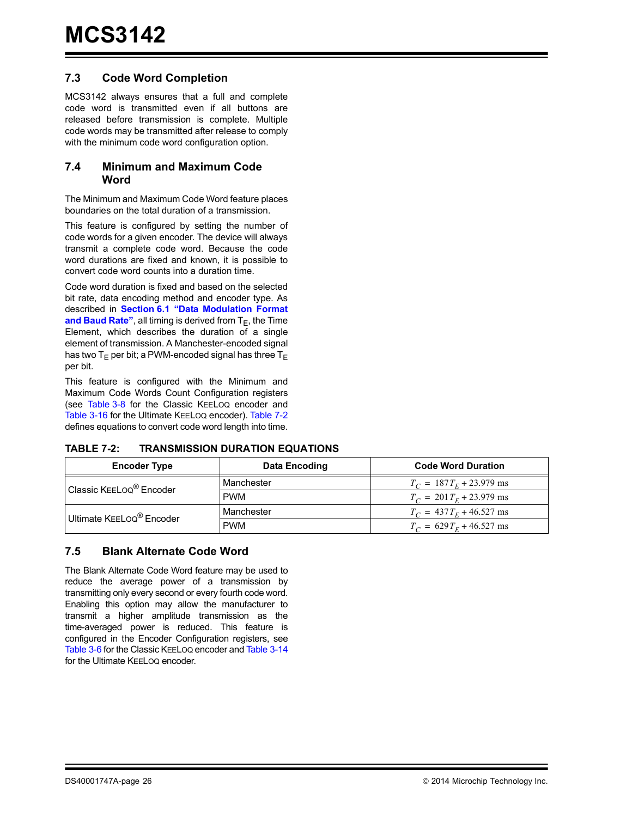#### **7.3 Code Word Completion**

MCS3142 always ensures that a full and complete code word is transmitted even if all buttons are released before transmission is complete. Multiple code words may be transmitted after release to comply with the minimum code word configuration option.

#### **7.4 Minimum and Maximum Code Word**

The Minimum and Maximum Code Word feature places boundaries on the total duration of a transmission.

This feature is configured by setting the number of code words for a given encoder. The device will always transmit a complete code word. Because the code word durations are fixed and known, it is possible to convert code word counts into a duration time.

Code word duration is fixed and based on the selected bit rate, data encoding method and encoder type. As described in **[Section 6.1 "Data Modulation Format](#page-20-1)** and **Baud Rate"**, all timing is derived from  $T_E$ , the Time Element, which describes the duration of a single element of transmission. A Manchester-encoded signal has two  $T_E$  per bit; a PWM-encoded signal has three  $T_E$ per bit.

This feature is configured with the Minimum and Maximum Code Words Count Configuration registers (see [Table 3-8](#page-9-2) for the Classic KEELOQ encoder and [Table 3-16](#page-12-3) for the Ultimate KEELOQ encoder). [Table 7-2](#page-25-0) defines equations to convert code word length into time.

<span id="page-25-0"></span>

| <b>TABLE 7-2:</b> |  | <b>TRANSMISSION DURATION EQUATIONS</b> |
|-------------------|--|----------------------------------------|
|-------------------|--|----------------------------------------|

| <b>Encoder Type</b>                  | Data Encoding | <b>Code Word Duration</b>   |
|--------------------------------------|---------------|-----------------------------|
| Classic KEELOQ <sup>®</sup> Encoder  | Manchester    | $T_c = 187T_F + 23.979$ ms  |
|                                      | <b>PWM</b>    | $T_C = 201 T_F + 23.979$ ms |
| Ultimate KEELOQ <sup>®</sup> Encoder | Manchester    | $T_C = 437T_F + 46.527$ ms  |
|                                      | <b>PWM</b>    | $T_C = 629T_F + 46.527$ ms  |

#### **7.5 Blank Alternate Code Word**

The Blank Alternate Code Word feature may be used to reduce the average power of a transmission by transmitting only every second or every fourth code word. Enabling this option may allow the manufacturer to transmit a higher amplitude transmission as the time-averaged power is reduced. This feature is configured in the Encoder Configuration registers, see [Table 3-6](#page-9-0) for the Classic KEELOQ encoder and [Table 3-14](#page-11-2) for the Ultimate KEELOQ encoder.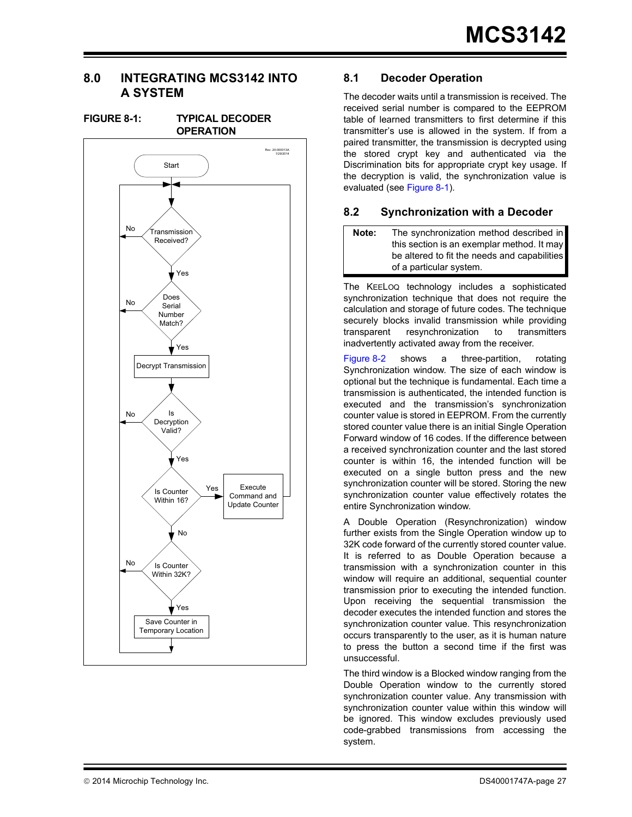### <span id="page-26-0"></span>**8.0 INTEGRATING MCS3142 INTO A SYSTEM**

<span id="page-26-1"></span>**FIGURE 8-1: TYPICAL DECODER OPERATION**



## **8.1 Decoder Operation**

The decoder waits until a transmission is received. The received serial number is compared to the EEPROM table of learned transmitters to first determine if this transmitter's use is allowed in the system. If from a paired transmitter, the transmission is decrypted using the stored crypt key and authenticated via the Discrimination bits for appropriate crypt key usage. If the decryption is valid, the synchronization value is evaluated (see [Figure 8-1](#page-26-1)).

## **8.2 Synchronization with a Decoder**

| No<br>`ransmission | Note: | The synchronization method described in      |
|--------------------|-------|----------------------------------------------|
| Received?          |       | this section is an exemplar method. It may   |
|                    |       | be altered to fit the needs and capabilities |
| $V_{\alpha\alpha}$ |       | of a particular system.                      |

The KEELOQ technology includes a sophisticated synchronization technique that does not require the calculation and storage of future codes. The technique securely blocks invalid transmission while providing transparent resynchronization to transmitters inadvertently activated away from the receiver.

[Figure 8-2](#page-27-0) shows a three-partition, rotating Synchronization window. The size of each window is optional but the technique is fundamental. Each time a transmission is authenticated, the intended function is executed and the transmission's synchronization counter value is stored in EEPROM. From the currently stored counter value there is an initial Single Operation Forward window of 16 codes. If the difference between a received synchronization counter and the last stored counter is within 16, the intended function will be executed on a single button press and the new synchronization counter will be stored. Storing the new synchronization counter value effectively rotates the entire Synchronization window.

A Double Operation (Resynchronization) window further exists from the Single Operation window up to 32K code forward of the currently stored counter value. It is referred to as Double Operation because a transmission with a synchronization counter in this window will require an additional, sequential counter transmission prior to executing the intended function. Upon receiving the sequential transmission the decoder executes the intended function and stores the synchronization counter value. This resynchronization occurs transparently to the user, as it is human nature to press the button a second time if the first was unsuccessful.

The third window is a Blocked window ranging from the Double Operation window to the currently stored synchronization counter value. Any transmission with synchronization counter value within this window will be ignored. This window excludes previously used code-grabbed transmissions from accessing the system.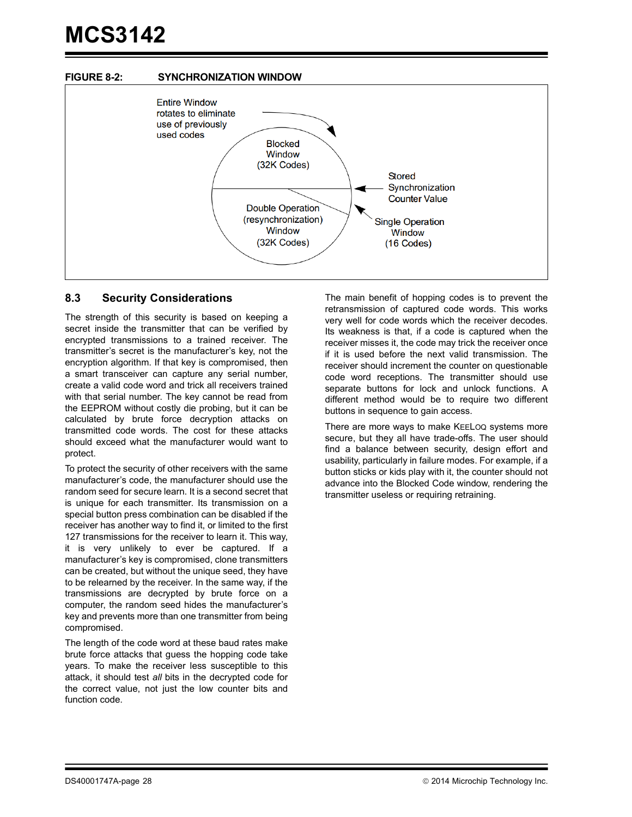<span id="page-27-0"></span>



#### **8.3 Security Considerations**

The strength of this security is based on keeping a secret inside the transmitter that can be verified by encrypted transmissions to a trained receiver. The transmitter's secret is the manufacturer's key, not the encryption algorithm. If that key is compromised, then a smart transceiver can capture any serial number, create a valid code word and trick all receivers trained with that serial number. The key cannot be read from the EEPROM without costly die probing, but it can be calculated by brute force decryption attacks on transmitted code words. The cost for these attacks should exceed what the manufacturer would want to protect.

To protect the security of other receivers with the same manufacturer's code, the manufacturer should use the random seed for secure learn. It is a second secret that is unique for each transmitter. Its transmission on a special button press combination can be disabled if the receiver has another way to find it, or limited to the first 127 transmissions for the receiver to learn it. This way, it is very unlikely to ever be captured. If a manufacturer's key is compromised, clone transmitters can be created, but without the unique seed, they have to be relearned by the receiver. In the same way, if the transmissions are decrypted by brute force on a computer, the random seed hides the manufacturer's key and prevents more than one transmitter from being compromised.

The length of the code word at these baud rates make brute force attacks that guess the hopping code take years. To make the receiver less susceptible to this attack, it should test *all* bits in the decrypted code for the correct value, not just the low counter bits and function code.

The main benefit of hopping codes is to prevent the retransmission of captured code words. This works very well for code words which the receiver decodes. Its weakness is that, if a code is captured when the receiver misses it, the code may trick the receiver once if it is used before the next valid transmission. The receiver should increment the counter on questionable code word receptions. The transmitter should use separate buttons for lock and unlock functions. A different method would be to require two different buttons in sequence to gain access.

There are more ways to make KEELOQ systems more secure, but they all have trade-offs. The user should find a balance between security, design effort and usability, particularly in failure modes. For example, if a button sticks or kids play with it, the counter should not advance into the Blocked Code window, rendering the transmitter useless or requiring retraining.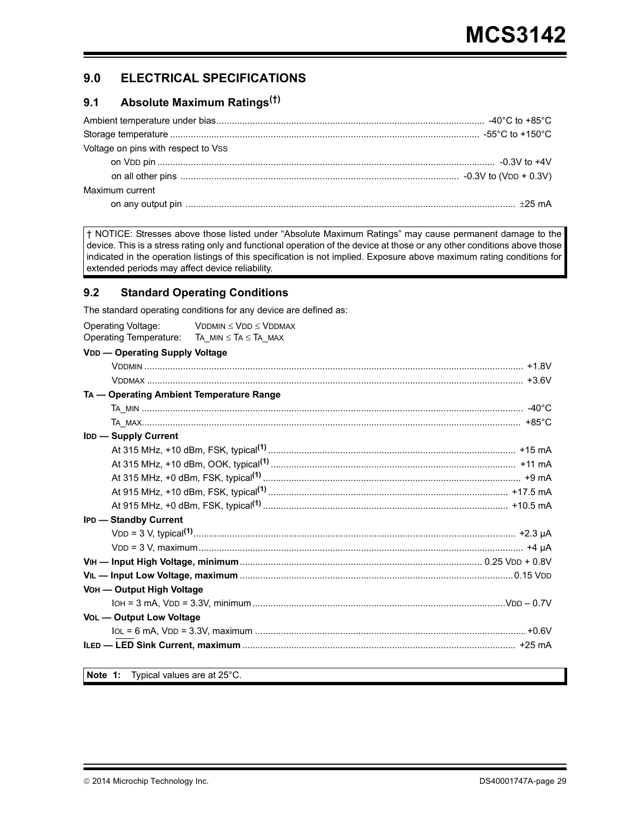# <span id="page-28-0"></span>**9.0 ELECTRICAL SPECIFICATIONS**

# **9.1 Absolute Maximum Ratings(†)**

| Voltage on pins with respect to Vss |  |
|-------------------------------------|--|
|                                     |  |
|                                     |  |
| Maximum current                     |  |
|                                     |  |
|                                     |  |

† NOTICE: Stresses above those listed under "Absolute Maximum Ratings" may cause permanent damage to the device. This is a stress rating only and functional operation of the device at those or any other conditions above those indicated in the operation listings of this specification is not implied. Exposure above maximum rating conditions for extended periods may affect device reliability.

#### **9.2 Standard Operating Conditions**

The standard operating conditions for any device are defined as:

| <b>Operating Voltage:</b><br><b>Operating Temperature:</b> | $V$ DDMIN $\leq$ VDD $\leq$ VDDMAX<br>$TA$ $MIN \leq TA \leq TA$ $MAX$ |  |
|------------------------------------------------------------|------------------------------------------------------------------------|--|
| VDD - Operating Supply Voltage                             |                                                                        |  |
|                                                            |                                                                        |  |
|                                                            |                                                                        |  |
| TA - Operating Ambient Temperature Range                   |                                                                        |  |
|                                                            |                                                                        |  |
|                                                            |                                                                        |  |
| IDD - Supply Current                                       |                                                                        |  |
|                                                            |                                                                        |  |
|                                                            |                                                                        |  |
|                                                            |                                                                        |  |
|                                                            |                                                                        |  |
|                                                            |                                                                        |  |
| <b>IPD - Standby Current</b>                               |                                                                        |  |
|                                                            |                                                                        |  |
|                                                            |                                                                        |  |
|                                                            |                                                                        |  |
|                                                            |                                                                        |  |
| Voн - Output High Voltage                                  |                                                                        |  |
|                                                            |                                                                        |  |
| VOL - Output Low Voltage                                   |                                                                        |  |
|                                                            |                                                                        |  |
|                                                            |                                                                        |  |
|                                                            |                                                                        |  |
| Note 1: Typical values are at 25°C.                        |                                                                        |  |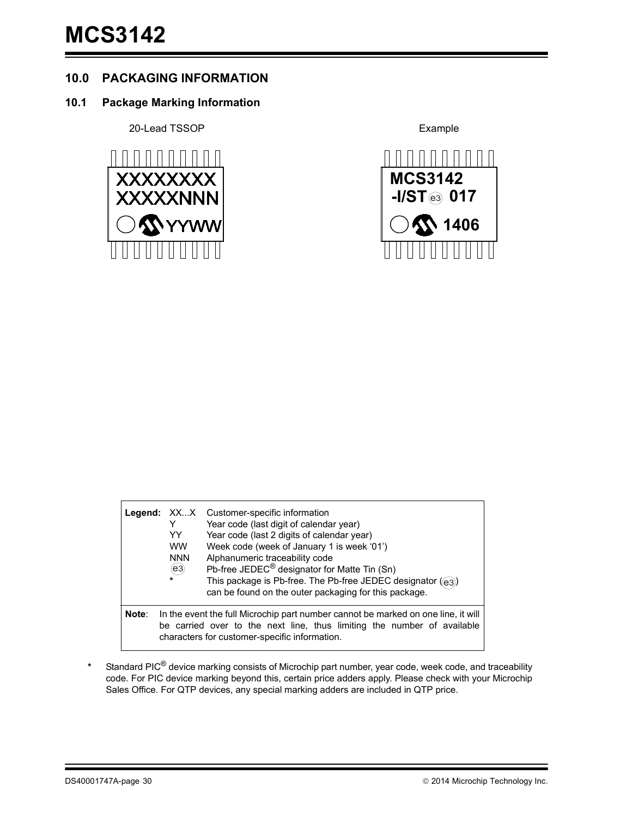## <span id="page-29-0"></span>**10.0 PACKAGING INFORMATION**

## **10.1 Package Marking Information**

20-Lead TSSOP **Example** 





|       | YY<br><b>WW</b><br><b>NNN</b><br>(e3)<br>$\star$                                                                                                                                                              | Legend: XXX Customer-specific information<br>Year code (last digit of calendar year)<br>Year code (last 2 digits of calendar year)<br>Week code (week of January 1 is week '01')<br>Alphanumeric traceability code<br>Pb-free JEDEC <sup>®</sup> designator for Matte Tin (Sn)<br>This package is Pb-free. The Pb-free JEDEC designator ((e3))<br>can be found on the outer packaging for this package. |
|-------|---------------------------------------------------------------------------------------------------------------------------------------------------------------------------------------------------------------|---------------------------------------------------------------------------------------------------------------------------------------------------------------------------------------------------------------------------------------------------------------------------------------------------------------------------------------------------------------------------------------------------------|
| Note: | In the event the full Microchip part number cannot be marked on one line, it will<br>be carried over to the next line, thus limiting the number of available<br>characters for customer-specific information. |                                                                                                                                                                                                                                                                                                                                                                                                         |

**\*** Standard PIC® device marking consists of Microchip part number, year code, week code, and traceability code. For PIC device marking beyond this, certain price adders apply. Please check with your Microchip Sales Office. For QTP devices, any special marking adders are included in QTP price.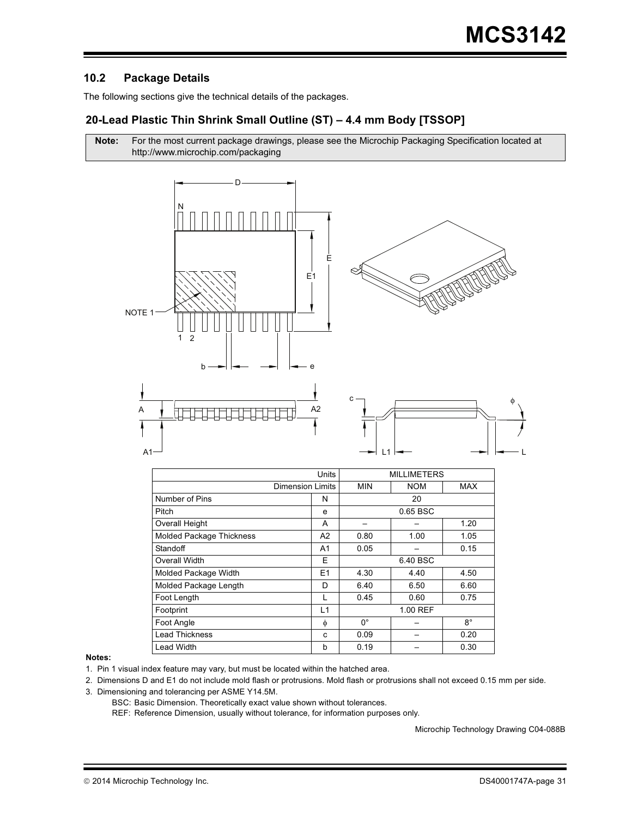#### **10.2 Package Details**

The following sections give the technical details of the packages.

#### 20-Lead Plastic Thin Shrink Small Outline (ST) – 4.4 mm Body [TSSOP]

Note: For the most current package drawings,<br>http://www.microchip.com/packaging Protection of the prote**ct of the community** 



| <b>Units</b>                    |                | <b>MILLIMETERS</b> |            |             |
|---------------------------------|----------------|--------------------|------------|-------------|
| Dimension Limits                |                | <b>MIN</b>         | <b>NOM</b> | <b>MAX</b>  |
| Number of Pins                  | N              | 20                 |            |             |
| Pitch                           | e              | 0.65 BSC           |            |             |
| <b>Overall Height</b>           | A              |                    |            | 1.20        |
| <b>Molded Package Thickness</b> | A2             | 0.80               | 1.00       | 1.05        |
| Standoff                        | A1             | 0.05               |            | 0.15        |
| Overall Width                   | F              |                    | 6.40 BSC   |             |
| Molded Package Width            | E <sub>1</sub> | 4.30               | 4.40       | 4.50        |
| Molded Package Length           | D              | 6.40               | 6.50       | 6.60        |
| Foot Length                     |                | 0.45               | 0.60       | 0.75        |
| Footprint                       | L1             |                    | 1.00 REF   |             |
| Foot Angle                      | $\phi$         | $0^{\circ}$        |            | $8^{\circ}$ |
| <b>Lead Thickness</b>           | C              | 0.09               |            | 0.20        |
| Lead Width                      | b              | 0.19               |            | 0.30        |

#### Notes:

- may vary, but must<br>eet include meld fleu
- 2. Dimensions D and E1 do not include mold flash or protrusions. Mold flash or protrusions shall not exceed 0.15 mm per side.<br>2. Dimensioning and telegracing and CME X44 EM.
- !--#-+-# &-"#-#-%!- -- '!
	- Booio Dimonsion, Theoretically exect us BSC: Basic Dimension. Theoretically exact value shown without tolerances.<br>REE: Reference Dimension. usually without tolerance, for information purpo
	- REF: Reference Dimension, usually without tolerance, for information purposes only.<br>.

 $\cdots$   $\cdots$   $\cdots$   $\cdots$   $\cdots$   $\cdots$   $\cdots$   $\cdots$   $\cdots$   $\cdots$   $\cdots$   $\cdots$   $\cdots$   $\cdots$   $\cdots$   $\cdots$   $\cdots$   $\cdots$   $\cdots$   $\cdots$   $\cdots$   $\cdots$   $\cdots$   $\cdots$   $\cdots$   $\cdots$   $\cdots$   $\cdots$   $\cdots$   $\cdots$   $\cdots$   $\cdots$   $\cdots$   $\cdots$   $\cdots$   $\cdots$   $\cdots$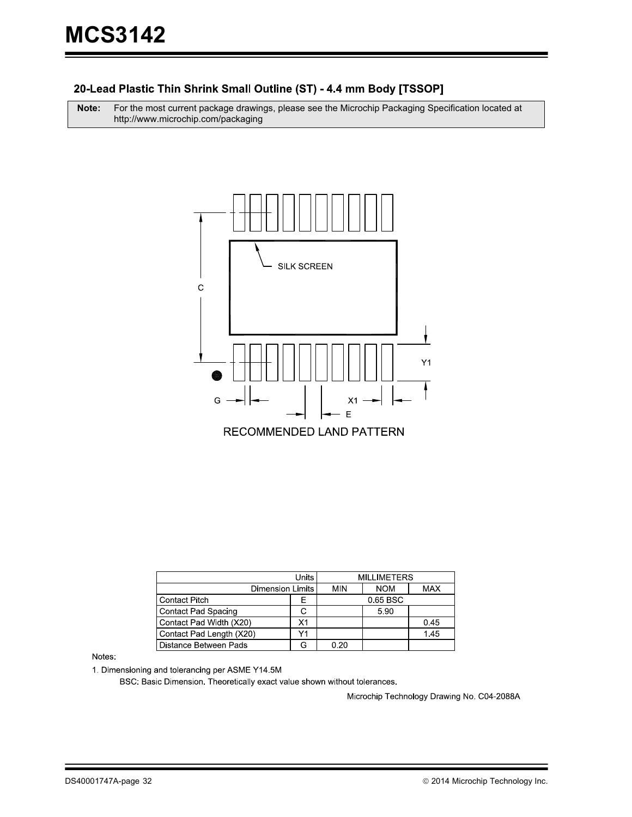## 20-Lead Plastic Thin Shrink Small Outline (ST) - 4.4 mm Body [TSSOP]

**Note:** For the most current package drawings, please see the Microchip Packaging Specification located at http://www.microchip.com/packaging



| Units                    |          | MILL IMETERS |            |            |
|--------------------------|----------|--------------|------------|------------|
| Dimension Limits         |          | MIN          | <b>NOM</b> | <b>MAX</b> |
| <b>Contact Pitch</b>     |          | 0.65 BSC     |            |            |
| Contact Pad Spacing      |          |              | 5.90       |            |
| Contact Pad Width (X20)  | Χ1       |              |            | 0.45       |
| Contact Pad Length (X20) | $\vee$ 1 |              |            | 1.45       |
| Distance Between Pads    |          | 0.20         |            |            |

Notes:

1. Dimensioning and tolerancing per ASME Y14.5M

BSC: Basic Dimension. Theoretically exact value shown without tolerances.

Microchip Technology Drawing No. C04-2088A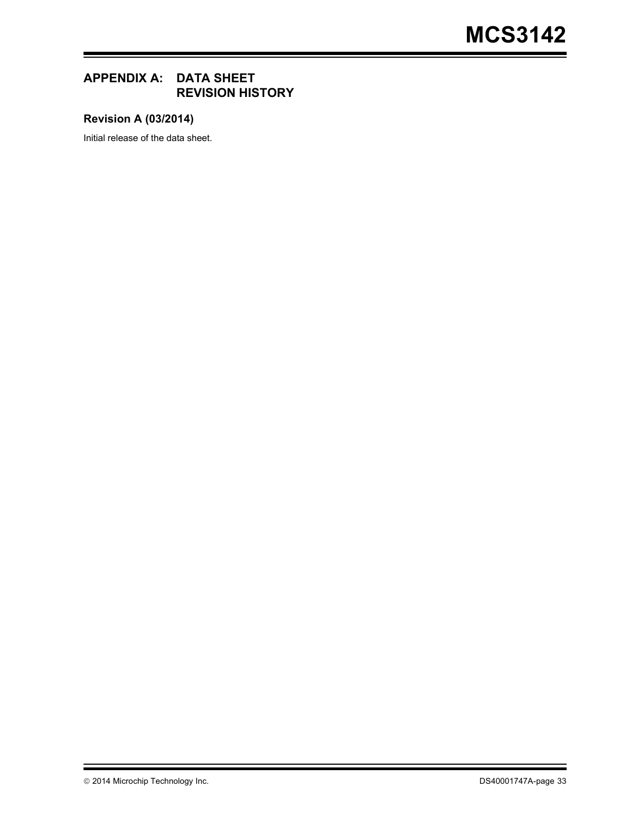# **APPENDIX A: DATA SHEET REVISION HISTORY**

# **Revision A (03/2014)**

Initial release of the data sheet.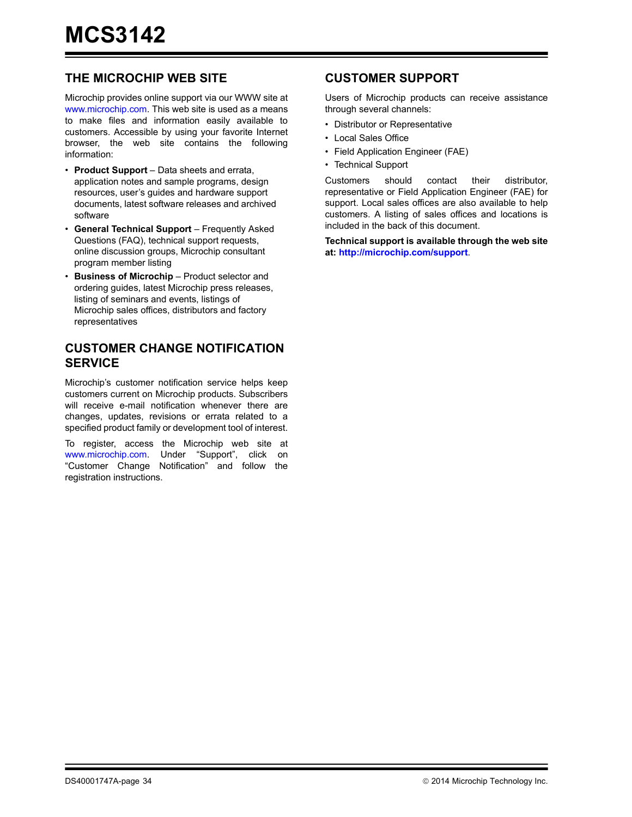# <span id="page-33-0"></span>**THE MICROCHIP WEB SITE**

Microchip provides online support via our WWW site at [www.microchip.com](http://www.microchip.com/). This web site is used as a means to make files and information easily available to customers. Accessible by using your favorite Internet browser, the web site contains the following information:

- **Product Support** Data sheets and errata, application notes and sample programs, design resources, user's guides and hardware support documents, latest software releases and archived software
- **General Technical Support** Frequently Asked Questions (FAQ), technical support requests, online discussion groups, Microchip consultant program member listing
- **Business of Microchip** Product selector and ordering guides, latest Microchip press releases, listing of seminars and events, listings of Microchip sales offices, distributors and factory representatives

## <span id="page-33-1"></span>**CUSTOMER CHANGE NOTIFICATION SERVICE**

Microchip's customer notification service helps keep customers current on Microchip products. Subscribers will receive e-mail notification whenever there are changes, updates, revisions or errata related to a specified product family or development tool of interest.

To register, access the Microchip web site at [www.microchip.com](http://www.microchip.com/). Under "Support", click on "Customer Change Notification" and follow the registration instructions.

# <span id="page-33-2"></span>**CUSTOMER SUPPORT**

Users of Microchip products can receive assistance through several channels:

- Distributor or Representative
- Local Sales Office
- Field Application Engineer (FAE)
- Technical Support

Customers should contact their distributor, representative or Field Application Engineer (FAE) for support. Local sales offices are also available to help customers. A listing of sales offices and locations is included in the back of this document.

**[Technical support is available through the web site](http://www.microchip.com/support/hottopics.aspx) [at:](http://www.microchip.com/support/hottopics.aspx) http://microchip.com/support**.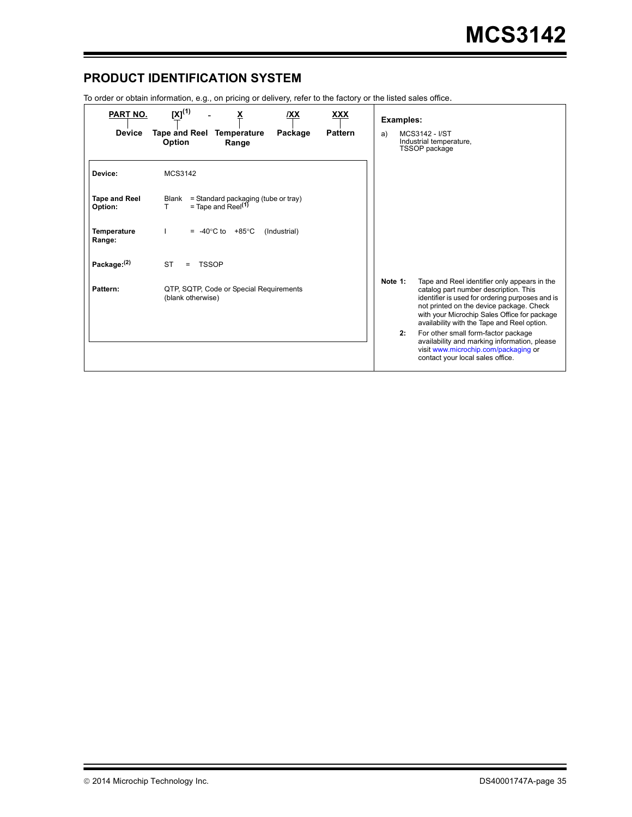# <span id="page-34-0"></span>**PRODUCT IDENTIFICATION SYSTEM**

To order or obtain information, e.g., on pricing or delivery, refer to the factory or the listed sales office.

| PART NO.<br><b>Device</b>       | $[X]^{(1)}$<br><u>x</u><br>/XX<br>Tape and Reel Temperature<br>Package<br><b>Option</b><br>Range | XXX<br><b>Pattern</b> | <b>Examples:</b><br><b>MCS3142 - I/ST</b><br>a)<br>Industrial temperature,<br>TSSOP package                                                                                                                                                                                                                                                                                                                                                                             |
|---------------------------------|--------------------------------------------------------------------------------------------------|-----------------------|-------------------------------------------------------------------------------------------------------------------------------------------------------------------------------------------------------------------------------------------------------------------------------------------------------------------------------------------------------------------------------------------------------------------------------------------------------------------------|
| Device:                         | <b>MCS3142</b>                                                                                   |                       |                                                                                                                                                                                                                                                                                                                                                                                                                                                                         |
| <b>Tape and Reel</b><br>Option: | = Standard packaging (tube or tray)<br>Blank<br>$=$ Tape and Reel <sup>(1)</sup><br>T.           |                       |                                                                                                                                                                                                                                                                                                                                                                                                                                                                         |
| <b>Temperature</b><br>Range:    | $= -40^{\circ}$ C to $+85^{\circ}$ C<br>(Industrial)                                             |                       |                                                                                                                                                                                                                                                                                                                                                                                                                                                                         |
| Package:(2)                     | <b>ST</b><br><b>TSSOP</b><br>$=$                                                                 |                       |                                                                                                                                                                                                                                                                                                                                                                                                                                                                         |
| Pattern:                        | QTP, SQTP, Code or Special Requirements<br>(blank otherwise)                                     |                       | Note 1:<br>Tape and Reel identifier only appears in the<br>catalog part number description. This<br>identifier is used for ordering purposes and is<br>not printed on the device package. Check<br>with your Microchip Sales Office for package<br>availability with the Tape and Reel option.<br>2:<br>For other small form-factor package<br>availability and marking information, please<br>visit www.microchip.com/packaging or<br>contact your local sales office. |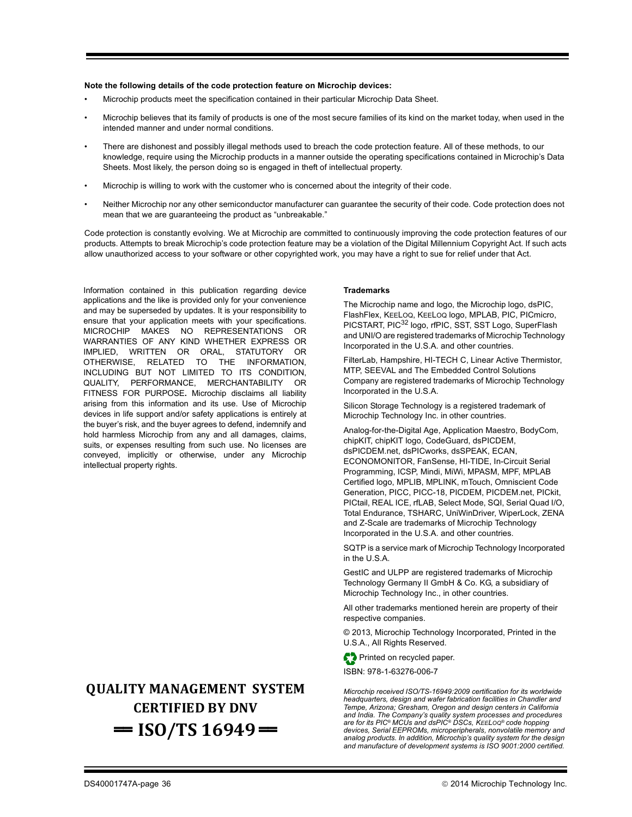#### **Note the following details of the code protection feature on Microchip devices:**

- Microchip products meet the specification contained in their particular Microchip Data Sheet.
- Microchip believes that its family of products is one of the most secure families of its kind on the market today, when used in the intended manner and under normal conditions.
- There are dishonest and possibly illegal methods used to breach the code protection feature. All of these methods, to our knowledge, require using the Microchip products in a manner outside the operating specifications contained in Microchip's Data Sheets. Most likely, the person doing so is engaged in theft of intellectual property.
- Microchip is willing to work with the customer who is concerned about the integrity of their code.
- Neither Microchip nor any other semiconductor manufacturer can guarantee the security of their code. Code protection does not mean that we are guaranteeing the product as "unbreakable."

Code protection is constantly evolving. We at Microchip are committed to continuously improving the code protection features of our products. Attempts to break Microchip's code protection feature may be a violation of the Digital Millennium Copyright Act. If such acts allow unauthorized access to your software or other copyrighted work, you may have a right to sue for relief under that Act.

Information contained in this publication regarding device applications and the like is provided only for your convenience and may be superseded by updates. It is your responsibility to ensure that your application meets with your specifications. MICROCHIP MAKES NO REPRESENTATIONS OR WARRANTIES OF ANY KIND WHETHER EXPRESS OR IMPLIED, WRITTEN OR ORAL, STATUTORY OR OTHERWISE, RELATED TO THE INFORMATION, INCLUDING BUT NOT LIMITED TO ITS CONDITION, QUALITY, PERFORMANCE, MERCHANTABILITY OR FITNESS FOR PURPOSE**.** Microchip disclaims all liability arising from this information and its use. Use of Microchip devices in life support and/or safety applications is entirely at the buyer's risk, and the buyer agrees to defend, indemnify and hold harmless Microchip from any and all damages, claims, suits, or expenses resulting from such use. No licenses are conveyed, implicitly or otherwise, under any Microchip intellectual property rights.

# **QUALITY MANAGEMENT SYSTEM CERTIFIED BY DNV**   $=$  **ISO/TS 16949**  $=$

#### **Trademarks**

The Microchip name and logo, the Microchip logo, dsPIC, FlashFlex, KEELOQ, KEELOQ logo, MPLAB, PIC, PICmicro, PICSTART, PIC<sup>32</sup> logo, rfPIC, SST, SST Logo, SuperFlash and UNI/O are registered trademarks of Microchip Technology Incorporated in the U.S.A. and other countries.

FilterLab, Hampshire, HI-TECH C, Linear Active Thermistor, MTP, SEEVAL and The Embedded Control Solutions Company are registered trademarks of Microchip Technology Incorporated in the U.S.A.

Silicon Storage Technology is a registered trademark of Microchip Technology Inc. in other countries.

Analog-for-the-Digital Age, Application Maestro, BodyCom, chipKIT, chipKIT logo, CodeGuard, dsPICDEM, dsPICDEM.net, dsPICworks, dsSPEAK, ECAN, ECONOMONITOR, FanSense, HI-TIDE, In-Circuit Serial Programming, ICSP, Mindi, MiWi, MPASM, MPF, MPLAB Certified logo, MPLIB, MPLINK, mTouch, Omniscient Code Generation, PICC, PICC-18, PICDEM, PICDEM.net, PICkit, PICtail, REAL ICE, rfLAB, Select Mode, SQI, Serial Quad I/O, Total Endurance, TSHARC, UniWinDriver, WiperLock, ZENA and Z-Scale are trademarks of Microchip Technology Incorporated in the U.S.A. and other countries.

SQTP is a service mark of Microchip Technology Incorporated in the U.S.A.

GestIC and ULPP are registered trademarks of Microchip Technology Germany II GmbH & Co. KG, a subsidiary of Microchip Technology Inc., in other countries.

All other trademarks mentioned herein are property of their respective companies.

© 2013, Microchip Technology Incorporated, Printed in the U.S.A., All Rights Reserved.

Printed on recycled paper.

ISBN: 978-1-63276-006-7

*Microchip received ISO/TS-16949:2009 certification for its worldwide headquarters, design and wafer fabrication facilities in Chandler and Tempe, Arizona; Gresham, Oregon and design centers in California and India. The Company's quality system processes and procedures are for its PIC® MCUs and dsPIC® DSCs, KEELOQ® code hopping devices, Serial EEPROMs, microperipherals, nonvolatile memory and analog products. In addition, Microchip's quality system for the design and manufacture of development systems is ISO 9001:2000 certified.*